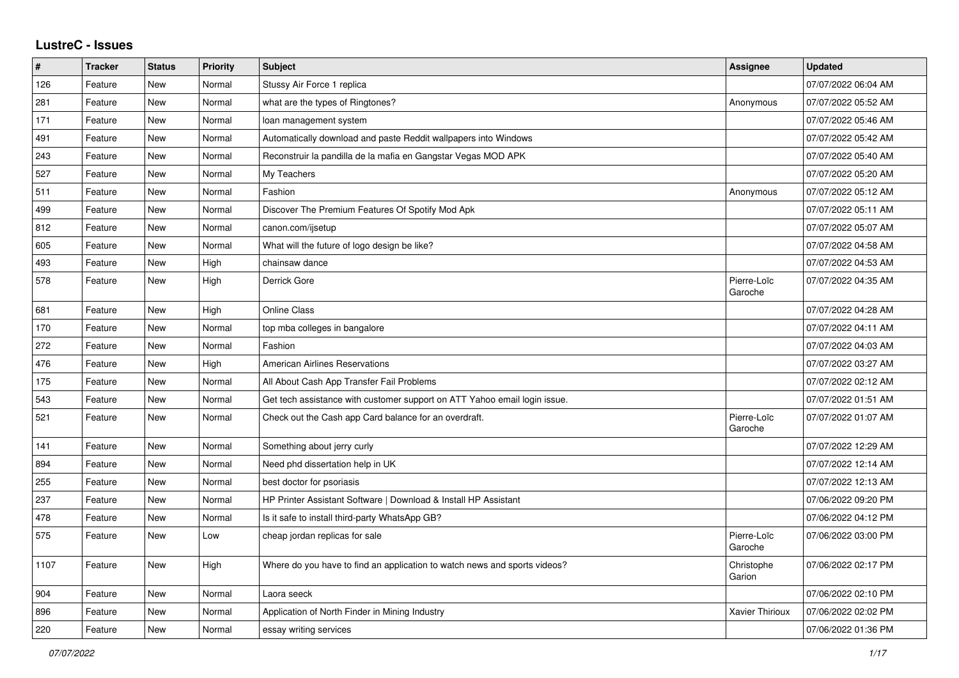## **LustreC - Issues**

| $\vert$ # | <b>Tracker</b> | <b>Status</b> | <b>Priority</b> | <b>Subject</b>                                                            | <b>Assignee</b>        | <b>Updated</b>      |
|-----------|----------------|---------------|-----------------|---------------------------------------------------------------------------|------------------------|---------------------|
| 126       | Feature        | <b>New</b>    | Normal          | Stussy Air Force 1 replica                                                |                        | 07/07/2022 06:04 AM |
| 281       | Feature        | <b>New</b>    | Normal          | what are the types of Ringtones?                                          | Anonymous              | 07/07/2022 05:52 AM |
| 171       | Feature        | <b>New</b>    | Normal          | loan management system                                                    |                        | 07/07/2022 05:46 AM |
| 491       | Feature        | <b>New</b>    | Normal          | Automatically download and paste Reddit wallpapers into Windows           |                        | 07/07/2022 05:42 AM |
| 243       | Feature        | <b>New</b>    | Normal          | Reconstruir la pandilla de la mafia en Gangstar Vegas MOD APK             |                        | 07/07/2022 05:40 AM |
| 527       | Feature        | <b>New</b>    | Normal          | My Teachers                                                               |                        | 07/07/2022 05:20 AM |
| 511       | Feature        | New           | Normal          | Fashion                                                                   | Anonymous              | 07/07/2022 05:12 AM |
| 499       | Feature        | <b>New</b>    | Normal          | Discover The Premium Features Of Spotify Mod Apk                          |                        | 07/07/2022 05:11 AM |
| 812       | Feature        | <b>New</b>    | Normal          | canon.com/ijsetup                                                         |                        | 07/07/2022 05:07 AM |
| 605       | Feature        | <b>New</b>    | Normal          | What will the future of logo design be like?                              |                        | 07/07/2022 04:58 AM |
| 493       | Feature        | <b>New</b>    | High            | chainsaw dance                                                            |                        | 07/07/2022 04:53 AM |
| 578       | Feature        | <b>New</b>    | High            | Derrick Gore                                                              | Pierre-Loïc<br>Garoche | 07/07/2022 04:35 AM |
| 681       | Feature        | <b>New</b>    | High            | Online Class                                                              |                        | 07/07/2022 04:28 AM |
| 170       | Feature        | <b>New</b>    | Normal          | top mba colleges in bangalore                                             |                        | 07/07/2022 04:11 AM |
| 272       | Feature        | <b>New</b>    | Normal          | Fashion                                                                   |                        | 07/07/2022 04:03 AM |
| 476       | Feature        | <b>New</b>    | High            | <b>American Airlines Reservations</b>                                     |                        | 07/07/2022 03:27 AM |
| 175       | Feature        | <b>New</b>    | Normal          | All About Cash App Transfer Fail Problems                                 |                        | 07/07/2022 02:12 AM |
| 543       | Feature        | New           | Normal          | Get tech assistance with customer support on ATT Yahoo email login issue. |                        | 07/07/2022 01:51 AM |
| 521       | Feature        | <b>New</b>    | Normal          | Check out the Cash app Card balance for an overdraft.                     | Pierre-Loïc<br>Garoche | 07/07/2022 01:07 AM |
| 141       | Feature        | <b>New</b>    | Normal          | Something about jerry curly                                               |                        | 07/07/2022 12:29 AM |
| 894       | Feature        | <b>New</b>    | Normal          | Need phd dissertation help in UK                                          |                        | 07/07/2022 12:14 AM |
| 255       | Feature        | <b>New</b>    | Normal          | best doctor for psoriasis                                                 |                        | 07/07/2022 12:13 AM |
| 237       | Feature        | <b>New</b>    | Normal          | HP Printer Assistant Software   Download & Install HP Assistant           |                        | 07/06/2022 09:20 PM |
| 478       | Feature        | <b>New</b>    | Normal          | Is it safe to install third-party WhatsApp GB?                            |                        | 07/06/2022 04:12 PM |
| 575       | Feature        | <b>New</b>    | Low             | cheap jordan replicas for sale                                            | Pierre-Loïc<br>Garoche | 07/06/2022 03:00 PM |
| 1107      | Feature        | <b>New</b>    | High            | Where do you have to find an application to watch news and sports videos? | Christophe<br>Garion   | 07/06/2022 02:17 PM |
| 904       | Feature        | <b>New</b>    | Normal          | Laora seeck                                                               |                        | 07/06/2022 02:10 PM |
| 896       | Feature        | <b>New</b>    | Normal          | Application of North Finder in Mining Industry                            | <b>Xavier Thirioux</b> | 07/06/2022 02:02 PM |
| 220       | Feature        | New           | Normal          | essay writing services                                                    |                        | 07/06/2022 01:36 PM |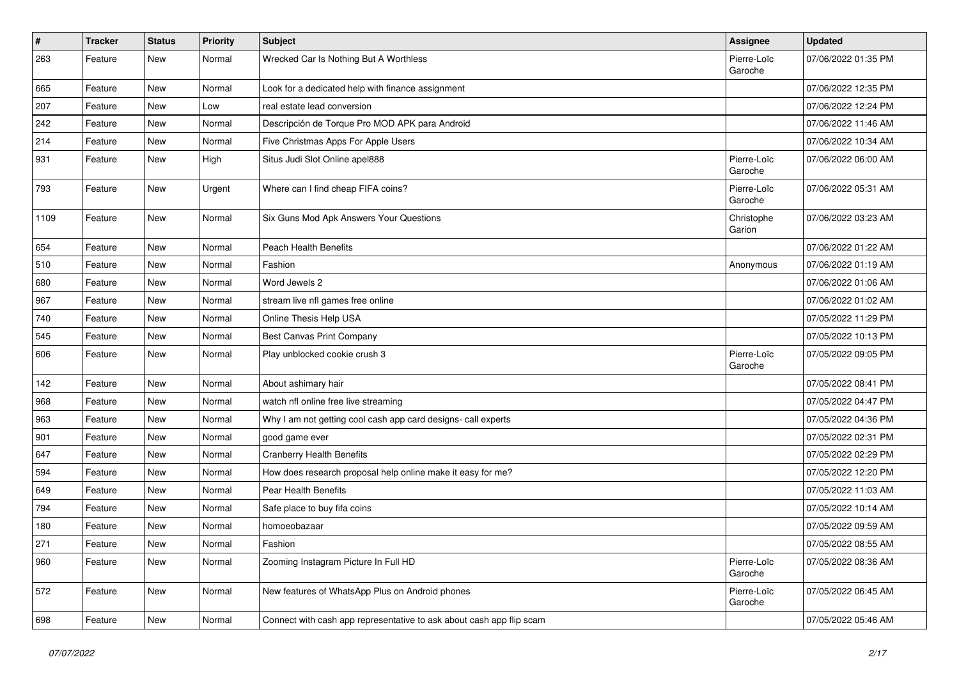| $\pmb{\#}$ | <b>Tracker</b> | <b>Status</b> | <b>Priority</b> | Subject                                                              | Assignee               | <b>Updated</b>      |
|------------|----------------|---------------|-----------------|----------------------------------------------------------------------|------------------------|---------------------|
| 263        | Feature        | New           | Normal          | Wrecked Car Is Nothing But A Worthless                               | Pierre-Loïc<br>Garoche | 07/06/2022 01:35 PM |
| 665        | Feature        | New           | Normal          | Look for a dedicated help with finance assignment                    |                        | 07/06/2022 12:35 PM |
| 207        | Feature        | New           | Low             | real estate lead conversion                                          |                        | 07/06/2022 12:24 PM |
| 242        | Feature        | New           | Normal          | Descripción de Torque Pro MOD APK para Android                       |                        | 07/06/2022 11:46 AM |
| 214        | Feature        | New           | Normal          | Five Christmas Apps For Apple Users                                  |                        | 07/06/2022 10:34 AM |
| 931        | Feature        | New           | High            | Situs Judi Slot Online apel888                                       | Pierre-Loïc<br>Garoche | 07/06/2022 06:00 AM |
| 793        | Feature        | New           | Urgent          | Where can I find cheap FIFA coins?                                   | Pierre-Loïc<br>Garoche | 07/06/2022 05:31 AM |
| 1109       | Feature        | New           | Normal          | Six Guns Mod Apk Answers Your Questions                              | Christophe<br>Garion   | 07/06/2022 03:23 AM |
| 654        | Feature        | <b>New</b>    | Normal          | <b>Peach Health Benefits</b>                                         |                        | 07/06/2022 01:22 AM |
| 510        | Feature        | New           | Normal          | Fashion                                                              | Anonymous              | 07/06/2022 01:19 AM |
| 680        | Feature        | New           | Normal          | Word Jewels 2                                                        |                        | 07/06/2022 01:06 AM |
| 967        | Feature        | New           | Normal          | stream live nfl games free online                                    |                        | 07/06/2022 01:02 AM |
| 740        | Feature        | New           | Normal          | Online Thesis Help USA                                               |                        | 07/05/2022 11:29 PM |
| 545        | Feature        | <b>New</b>    | Normal          | Best Canvas Print Company                                            |                        | 07/05/2022 10:13 PM |
| 606        | Feature        | New           | Normal          | Play unblocked cookie crush 3                                        | Pierre-Loïc<br>Garoche | 07/05/2022 09:05 PM |
| 142        | Feature        | New           | Normal          | About ashimary hair                                                  |                        | 07/05/2022 08:41 PM |
| 968        | Feature        | New           | Normal          | watch nfl online free live streaming                                 |                        | 07/05/2022 04:47 PM |
| 963        | Feature        | New           | Normal          | Why I am not getting cool cash app card designs- call experts        |                        | 07/05/2022 04:36 PM |
| 901        | Feature        | New           | Normal          | good game ever                                                       |                        | 07/05/2022 02:31 PM |
| 647        | Feature        | New           | Normal          | <b>Cranberry Health Benefits</b>                                     |                        | 07/05/2022 02:29 PM |
| 594        | Feature        | <b>New</b>    | Normal          | How does research proposal help online make it easy for me?          |                        | 07/05/2022 12:20 PM |
| 649        | Feature        | New           | Normal          | Pear Health Benefits                                                 |                        | 07/05/2022 11:03 AM |
| 794        | Feature        | New           | Normal          | Safe place to buy fifa coins                                         |                        | 07/05/2022 10:14 AM |
| 180        | Feature        | New           | Normal          | homoeobazaar                                                         |                        | 07/05/2022 09:59 AM |
| 271        | Feature        | New           | Normal          | Fashion                                                              |                        | 07/05/2022 08:55 AM |
| 960        | Feature        | New           | Normal          | Zooming Instagram Picture In Full HD                                 | Pierre-Loïc<br>Garoche | 07/05/2022 08:36 AM |
| 572        | Feature        | New           | Normal          | New features of WhatsApp Plus on Android phones                      | Pierre-Loïc<br>Garoche | 07/05/2022 06:45 AM |
| 698        | Feature        | New           | Normal          | Connect with cash app representative to ask about cash app flip scam |                        | 07/05/2022 05:46 AM |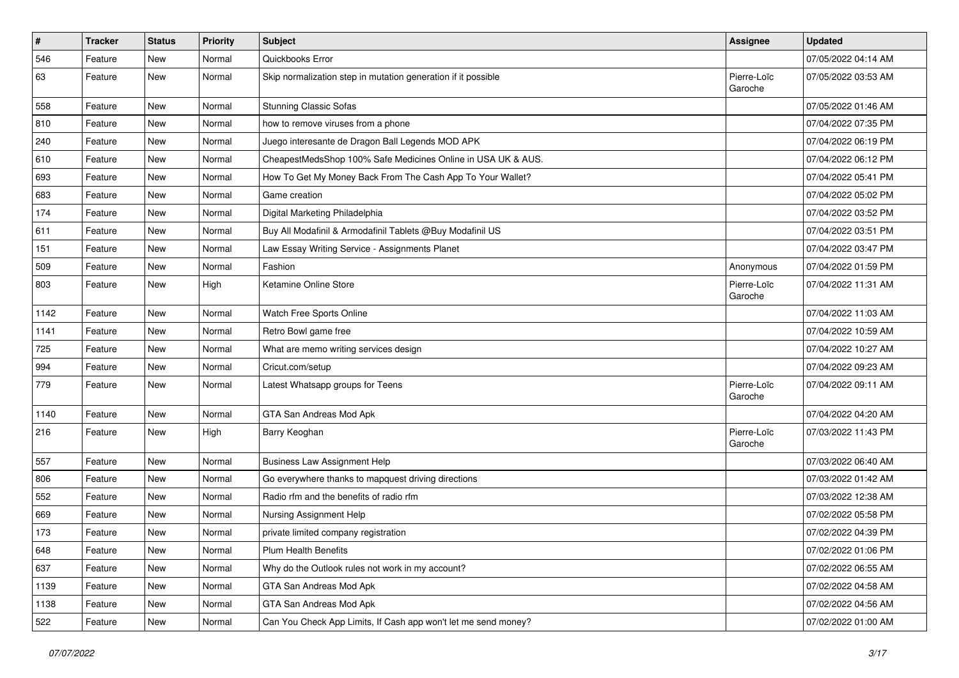| $\sharp$ | <b>Tracker</b> | <b>Status</b> | <b>Priority</b> | <b>Subject</b>                                                 | <b>Assignee</b>        | <b>Updated</b>      |
|----------|----------------|---------------|-----------------|----------------------------------------------------------------|------------------------|---------------------|
| 546      | Feature        | New           | Normal          | Quickbooks Error                                               |                        | 07/05/2022 04:14 AM |
| 63       | Feature        | New           | Normal          | Skip normalization step in mutation generation if it possible  | Pierre-Loïc<br>Garoche | 07/05/2022 03:53 AM |
| 558      | Feature        | New           | Normal          | <b>Stunning Classic Sofas</b>                                  |                        | 07/05/2022 01:46 AM |
| 810      | Feature        | New           | Normal          | how to remove viruses from a phone                             |                        | 07/04/2022 07:35 PM |
| 240      | Feature        | New           | Normal          | Juego interesante de Dragon Ball Legends MOD APK               |                        | 07/04/2022 06:19 PM |
| 610      | Feature        | New           | Normal          | CheapestMedsShop 100% Safe Medicines Online in USA UK & AUS.   |                        | 07/04/2022 06:12 PM |
| 693      | Feature        | New           | Normal          | How To Get My Money Back From The Cash App To Your Wallet?     |                        | 07/04/2022 05:41 PM |
| 683      | Feature        | New           | Normal          | Game creation                                                  |                        | 07/04/2022 05:02 PM |
| 174      | Feature        | New           | Normal          | Digital Marketing Philadelphia                                 |                        | 07/04/2022 03:52 PM |
| 611      | Feature        | New           | Normal          | Buy All Modafinil & Armodafinil Tablets @Buy Modafinil US      |                        | 07/04/2022 03:51 PM |
| 151      | Feature        | New           | Normal          | Law Essay Writing Service - Assignments Planet                 |                        | 07/04/2022 03:47 PM |
| 509      | Feature        | New           | Normal          | Fashion                                                        | Anonymous              | 07/04/2022 01:59 PM |
| 803      | Feature        | New           | High            | Ketamine Online Store                                          | Pierre-Loïc<br>Garoche | 07/04/2022 11:31 AM |
| 1142     | Feature        | New           | Normal          | Watch Free Sports Online                                       |                        | 07/04/2022 11:03 AM |
| 1141     | Feature        | New           | Normal          | Retro Bowl game free                                           |                        | 07/04/2022 10:59 AM |
| 725      | Feature        | New           | Normal          | What are memo writing services design                          |                        | 07/04/2022 10:27 AM |
| 994      | Feature        | New           | Normal          | Cricut.com/setup                                               |                        | 07/04/2022 09:23 AM |
| 779      | Feature        | New           | Normal          | Latest Whatsapp groups for Teens                               | Pierre-Loïc<br>Garoche | 07/04/2022 09:11 AM |
| 1140     | Feature        | New           | Normal          | GTA San Andreas Mod Apk                                        |                        | 07/04/2022 04:20 AM |
| 216      | Feature        | New           | High            | Barry Keoghan                                                  | Pierre-Loïc<br>Garoche | 07/03/2022 11:43 PM |
| 557      | Feature        | New           | Normal          | <b>Business Law Assignment Help</b>                            |                        | 07/03/2022 06:40 AM |
| 806      | Feature        | New           | Normal          | Go everywhere thanks to mapquest driving directions            |                        | 07/03/2022 01:42 AM |
| 552      | Feature        | New           | Normal          | Radio rfm and the benefits of radio rfm                        |                        | 07/03/2022 12:38 AM |
| 669      | Feature        | New           | Normal          | Nursing Assignment Help                                        |                        | 07/02/2022 05:58 PM |
| 173      | Feature        | New           | Normal          | private limited company registration                           |                        | 07/02/2022 04:39 PM |
| 648      | Feature        | New           | Normal          | Plum Health Benefits                                           |                        | 07/02/2022 01:06 PM |
| 637      | Feature        | New           | Normal          | Why do the Outlook rules not work in my account?               |                        | 07/02/2022 06:55 AM |
| 1139     | Feature        | New           | Normal          | GTA San Andreas Mod Apk                                        |                        | 07/02/2022 04:58 AM |
| 1138     | Feature        | New           | Normal          | GTA San Andreas Mod Apk                                        |                        | 07/02/2022 04:56 AM |
| 522      | Feature        | New           | Normal          | Can You Check App Limits, If Cash app won't let me send money? |                        | 07/02/2022 01:00 AM |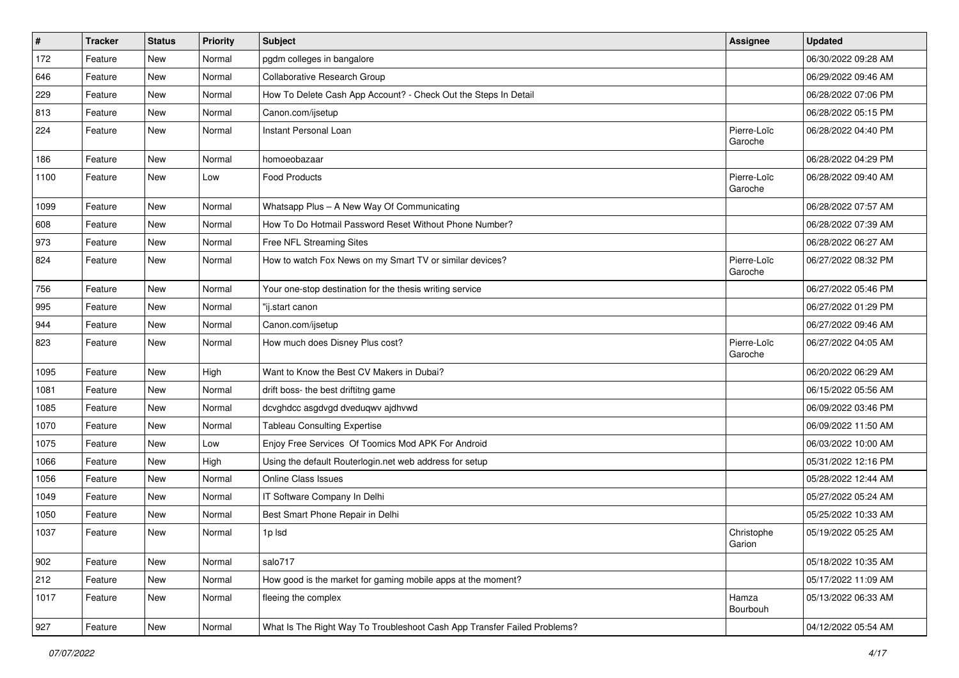| $\vert$ # | <b>Tracker</b> | <b>Status</b> | Priority | Subject                                                                  | Assignee               | <b>Updated</b>      |
|-----------|----------------|---------------|----------|--------------------------------------------------------------------------|------------------------|---------------------|
| 172       | Feature        | New           | Normal   | pgdm colleges in bangalore                                               |                        | 06/30/2022 09:28 AM |
| 646       | Feature        | <b>New</b>    | Normal   | <b>Collaborative Research Group</b>                                      |                        | 06/29/2022 09:46 AM |
| 229       | Feature        | New           | Normal   | How To Delete Cash App Account? - Check Out the Steps In Detail          |                        | 06/28/2022 07:06 PM |
| 813       | Feature        | New           | Normal   | Canon.com/ijsetup                                                        |                        | 06/28/2022 05:15 PM |
| 224       | Feature        | New           | Normal   | Instant Personal Loan                                                    | Pierre-Loïc<br>Garoche | 06/28/2022 04:40 PM |
| 186       | Feature        | New           | Normal   | homoeobazaar                                                             |                        | 06/28/2022 04:29 PM |
| 1100      | Feature        | New           | Low      | <b>Food Products</b>                                                     | Pierre-Loïc<br>Garoche | 06/28/2022 09:40 AM |
| 1099      | Feature        | <b>New</b>    | Normal   | Whatsapp Plus - A New Way Of Communicating                               |                        | 06/28/2022 07:57 AM |
| 608       | Feature        | New           | Normal   | How To Do Hotmail Password Reset Without Phone Number?                   |                        | 06/28/2022 07:39 AM |
| 973       | Feature        | New           | Normal   | Free NFL Streaming Sites                                                 |                        | 06/28/2022 06:27 AM |
| 824       | Feature        | New           | Normal   | How to watch Fox News on my Smart TV or similar devices?                 | Pierre-Loïc<br>Garoche | 06/27/2022 08:32 PM |
| 756       | Feature        | New           | Normal   | Your one-stop destination for the thesis writing service                 |                        | 06/27/2022 05:46 PM |
| 995       | Feature        | New           | Normal   | "ij.start canon                                                          |                        | 06/27/2022 01:29 PM |
| 944       | Feature        | New           | Normal   | Canon.com/ijsetup                                                        |                        | 06/27/2022 09:46 AM |
| 823       | Feature        | New           | Normal   | How much does Disney Plus cost?                                          | Pierre-Loïc<br>Garoche | 06/27/2022 04:05 AM |
| 1095      | Feature        | <b>New</b>    | High     | Want to Know the Best CV Makers in Dubai?                                |                        | 06/20/2022 06:29 AM |
| 1081      | Feature        | New           | Normal   | drift boss- the best driftitng game                                      |                        | 06/15/2022 05:56 AM |
| 1085      | Feature        | New           | Normal   | dcvghdcc asgdvgd dveduqwv ajdhvwd                                        |                        | 06/09/2022 03:46 PM |
| 1070      | Feature        | New           | Normal   | <b>Tableau Consulting Expertise</b>                                      |                        | 06/09/2022 11:50 AM |
| 1075      | Feature        | New           | Low      | Enjoy Free Services Of Toomics Mod APK For Android                       |                        | 06/03/2022 10:00 AM |
| 1066      | Feature        | New           | High     | Using the default Routerlogin.net web address for setup                  |                        | 05/31/2022 12:16 PM |
| 1056      | Feature        | New           | Normal   | Online Class Issues                                                      |                        | 05/28/2022 12:44 AM |
| 1049      | Feature        | New           | Normal   | IT Software Company In Delhi                                             |                        | 05/27/2022 05:24 AM |
| 1050      | Feature        | New           | Normal   | Best Smart Phone Repair in Delhi                                         |                        | 05/25/2022 10:33 AM |
| 1037      | Feature        | New           | Normal   | 1p lsd                                                                   | Christophe<br>Garion   | 05/19/2022 05:25 AM |
| 902       | Feature        | New           | Normal   | salo717                                                                  |                        | 05/18/2022 10:35 AM |
| 212       | Feature        | New           | Normal   | How good is the market for gaming mobile apps at the moment?             |                        | 05/17/2022 11:09 AM |
| 1017      | Feature        | New           | Normal   | fleeing the complex                                                      | Hamza<br>Bourbouh      | 05/13/2022 06:33 AM |
| 927       | Feature        | New           | Normal   | What Is The Right Way To Troubleshoot Cash App Transfer Failed Problems? |                        | 04/12/2022 05:54 AM |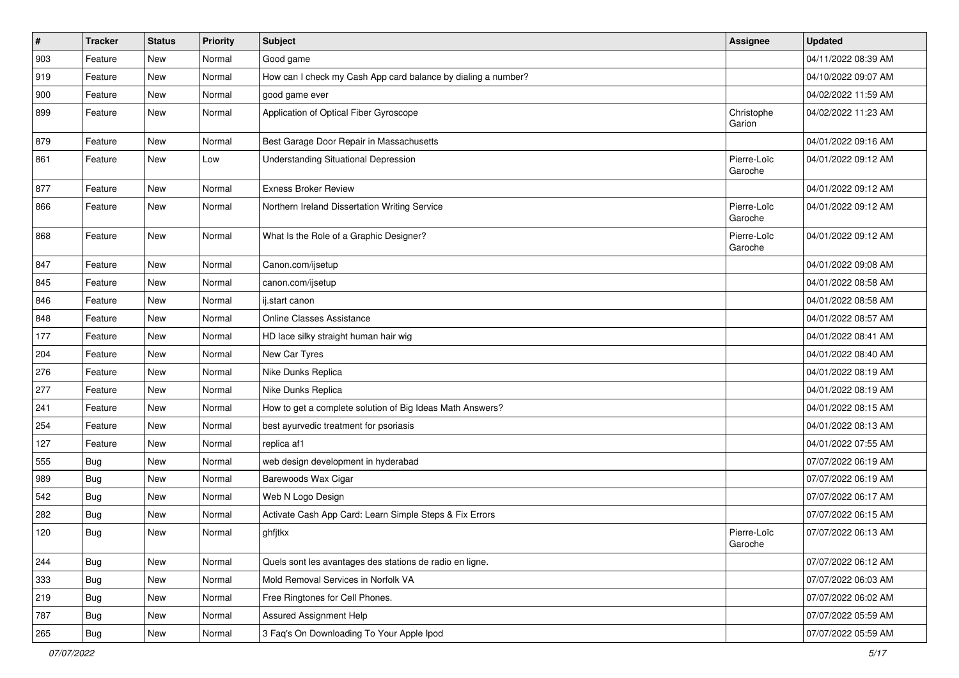| $\vert$ # | <b>Tracker</b> | <b>Status</b> | <b>Priority</b> | <b>Subject</b>                                                | Assignee               | <b>Updated</b>      |
|-----------|----------------|---------------|-----------------|---------------------------------------------------------------|------------------------|---------------------|
| 903       | Feature        | New           | Normal          | Good game                                                     |                        | 04/11/2022 08:39 AM |
| 919       | Feature        | New           | Normal          | How can I check my Cash App card balance by dialing a number? |                        | 04/10/2022 09:07 AM |
| 900       | Feature        | New           | Normal          | good game ever                                                |                        | 04/02/2022 11:59 AM |
| 899       | Feature        | New           | Normal          | Application of Optical Fiber Gyroscope                        | Christophe<br>Garion   | 04/02/2022 11:23 AM |
| 879       | Feature        | New           | Normal          | Best Garage Door Repair in Massachusetts                      |                        | 04/01/2022 09:16 AM |
| 861       | Feature        | New           | Low             | <b>Understanding Situational Depression</b>                   | Pierre-Loïc<br>Garoche | 04/01/2022 09:12 AM |
| 877       | Feature        | New           | Normal          | <b>Exness Broker Review</b>                                   |                        | 04/01/2022 09:12 AM |
| 866       | Feature        | New           | Normal          | Northern Ireland Dissertation Writing Service                 | Pierre-Loïc<br>Garoche | 04/01/2022 09:12 AM |
| 868       | Feature        | New           | Normal          | What Is the Role of a Graphic Designer?                       | Pierre-Loïc<br>Garoche | 04/01/2022 09:12 AM |
| 847       | Feature        | New           | Normal          | Canon.com/ijsetup                                             |                        | 04/01/2022 09:08 AM |
| 845       | Feature        | New           | Normal          | canon.com/ijsetup                                             |                        | 04/01/2022 08:58 AM |
| 846       | Feature        | New           | Normal          | ij.start canon                                                |                        | 04/01/2022 08:58 AM |
| 848       | Feature        | New           | Normal          | <b>Online Classes Assistance</b>                              |                        | 04/01/2022 08:57 AM |
| 177       | Feature        | New           | Normal          | HD lace silky straight human hair wig                         |                        | 04/01/2022 08:41 AM |
| 204       | Feature        | New           | Normal          | New Car Tyres                                                 |                        | 04/01/2022 08:40 AM |
| 276       | Feature        | New           | Normal          | Nike Dunks Replica                                            |                        | 04/01/2022 08:19 AM |
| 277       | Feature        | New           | Normal          | Nike Dunks Replica                                            |                        | 04/01/2022 08:19 AM |
| 241       | Feature        | New           | Normal          | How to get a complete solution of Big Ideas Math Answers?     |                        | 04/01/2022 08:15 AM |
| 254       | Feature        | New           | Normal          | best ayurvedic treatment for psoriasis                        |                        | 04/01/2022 08:13 AM |
| 127       | Feature        | New           | Normal          | replica af1                                                   |                        | 04/01/2022 07:55 AM |
| 555       | Bug            | New           | Normal          | web design development in hyderabad                           |                        | 07/07/2022 06:19 AM |
| 989       | Bug            | New           | Normal          | Barewoods Wax Cigar                                           |                        | 07/07/2022 06:19 AM |
| 542       | <b>Bug</b>     | New           | Normal          | Web N Logo Design                                             |                        | 07/07/2022 06:17 AM |
| 282       | <b>Bug</b>     | New           | Normal          | Activate Cash App Card: Learn Simple Steps & Fix Errors       |                        | 07/07/2022 06:15 AM |
| 120       | <b>Bug</b>     | New           | Normal          | ghfjtkx                                                       | Pierre-Loïc<br>Garoche | 07/07/2022 06:13 AM |
| 244       | Bug            | New           | Normal          | Quels sont les avantages des stations de radio en ligne.      |                        | 07/07/2022 06:12 AM |
| 333       | <b>Bug</b>     | New           | Normal          | Mold Removal Services in Norfolk VA                           |                        | 07/07/2022 06:03 AM |
| 219       | Bug            | New           | Normal          | Free Ringtones for Cell Phones.                               |                        | 07/07/2022 06:02 AM |
| 787       | <b>Bug</b>     | New           | Normal          | <b>Assured Assignment Help</b>                                |                        | 07/07/2022 05:59 AM |
| 265       | <b>Bug</b>     | New           | Normal          | 3 Faq's On Downloading To Your Apple Ipod                     |                        | 07/07/2022 05:59 AM |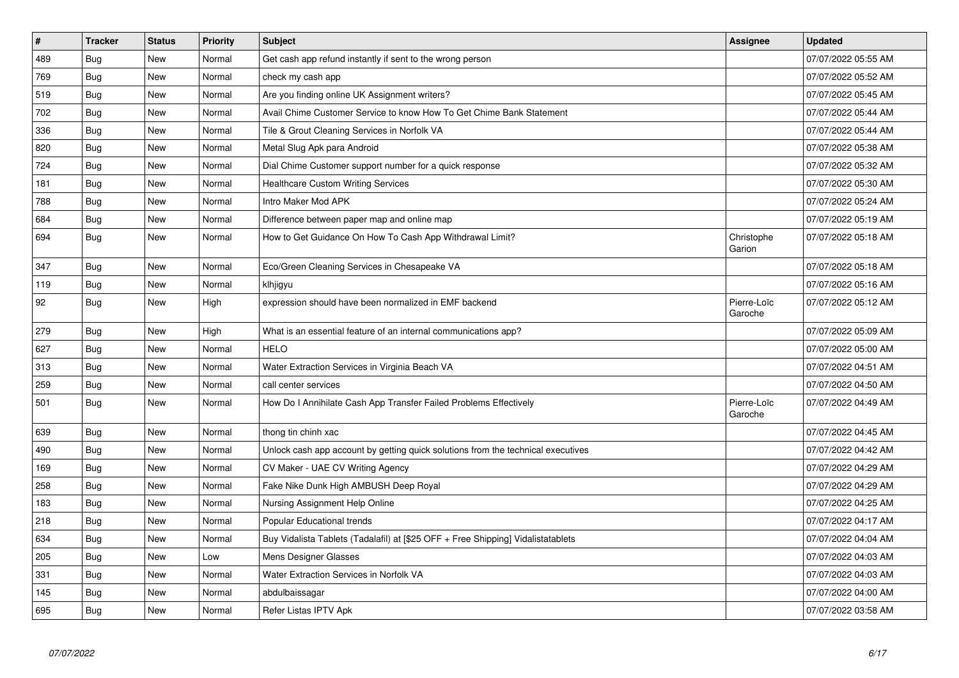| $\vert$ # | <b>Tracker</b> | <b>Status</b> | <b>Priority</b> | <b>Subject</b>                                                                   | Assignee               | <b>Updated</b>      |
|-----------|----------------|---------------|-----------------|----------------------------------------------------------------------------------|------------------------|---------------------|
| 489       | Bug            | New           | Normal          | Get cash app refund instantly if sent to the wrong person                        |                        | 07/07/2022 05:55 AM |
| 769       | Bug            | New           | Normal          | check my cash app                                                                |                        | 07/07/2022 05:52 AM |
| 519       | Bug            | New           | Normal          | Are you finding online UK Assignment writers?                                    |                        | 07/07/2022 05:45 AM |
| 702       | Bug            | New           | Normal          | Avail Chime Customer Service to know How To Get Chime Bank Statement             |                        | 07/07/2022 05:44 AM |
| 336       | <b>Bug</b>     | New           | Normal          | Tile & Grout Cleaning Services in Norfolk VA                                     |                        | 07/07/2022 05:44 AM |
| 820       | Bug            | New           | Normal          | Metal Slug Apk para Android                                                      |                        | 07/07/2022 05:38 AM |
| 724       | Bug            | New           | Normal          | Dial Chime Customer support number for a quick response                          |                        | 07/07/2022 05:32 AM |
| 181       | Bug            | New           | Normal          | Healthcare Custom Writing Services                                               |                        | 07/07/2022 05:30 AM |
| 788       | Bug            | New           | Normal          | Intro Maker Mod APK                                                              |                        | 07/07/2022 05:24 AM |
| 684       | Bug            | New           | Normal          | Difference between paper map and online map                                      |                        | 07/07/2022 05:19 AM |
| 694       | <b>Bug</b>     | New           | Normal          | How to Get Guidance On How To Cash App Withdrawal Limit?                         | Christophe<br>Garion   | 07/07/2022 05:18 AM |
| 347       | Bug            | New           | Normal          | Eco/Green Cleaning Services in Chesapeake VA                                     |                        | 07/07/2022 05:18 AM |
| 119       | Bug            | New           | Normal          | klhjigyu                                                                         |                        | 07/07/2022 05:16 AM |
| 92        | <b>Bug</b>     | New           | High            | expression should have been normalized in EMF backend                            | Pierre-Loïc<br>Garoche | 07/07/2022 05:12 AM |
| 279       | Bug            | New           | High            | What is an essential feature of an internal communications app?                  |                        | 07/07/2022 05:09 AM |
| 627       | Bug            | New           | Normal          | <b>HELO</b>                                                                      |                        | 07/07/2022 05:00 AM |
| 313       | Bug            | New           | Normal          | Water Extraction Services in Virginia Beach VA                                   |                        | 07/07/2022 04:51 AM |
| 259       | Bug            | New           | Normal          | call center services                                                             |                        | 07/07/2022 04:50 AM |
| 501       | Bug            | New           | Normal          | How Do I Annihilate Cash App Transfer Failed Problems Effectively                | Pierre-Loïc<br>Garoche | 07/07/2022 04:49 AM |
| 639       | Bug            | New           | Normal          | thong tin chinh xac                                                              |                        | 07/07/2022 04:45 AM |
| 490       | Bug            | New           | Normal          | Unlock cash app account by getting quick solutions from the technical executives |                        | 07/07/2022 04:42 AM |
| 169       | <b>Bug</b>     | New           | Normal          | CV Maker - UAE CV Writing Agency                                                 |                        | 07/07/2022 04:29 AM |
| 258       | Bug            | <b>New</b>    | Normal          | Fake Nike Dunk High AMBUSH Deep Royal                                            |                        | 07/07/2022 04:29 AM |
| 183       | <b>Bug</b>     | New           | Normal          | Nursing Assignment Help Online                                                   |                        | 07/07/2022 04:25 AM |
| 218       | <b>Bug</b>     | New           | Normal          | Popular Educational trends                                                       |                        | 07/07/2022 04:17 AM |
| 634       | Bug            | New           | Normal          | Buy Vidalista Tablets (Tadalafil) at [\$25 OFF + Free Shipping] Vidalistatablets |                        | 07/07/2022 04:04 AM |
| 205       | Bug            | New           | Low             | Mens Designer Glasses                                                            |                        | 07/07/2022 04:03 AM |
| 331       | Bug            | New           | Normal          | Water Extraction Services in Norfolk VA                                          |                        | 07/07/2022 04:03 AM |
| 145       | <b>Bug</b>     | New           | Normal          | abdulbaissagar                                                                   |                        | 07/07/2022 04:00 AM |
| 695       | Bug            | New           | Normal          | Refer Listas IPTV Apk                                                            |                        | 07/07/2022 03:58 AM |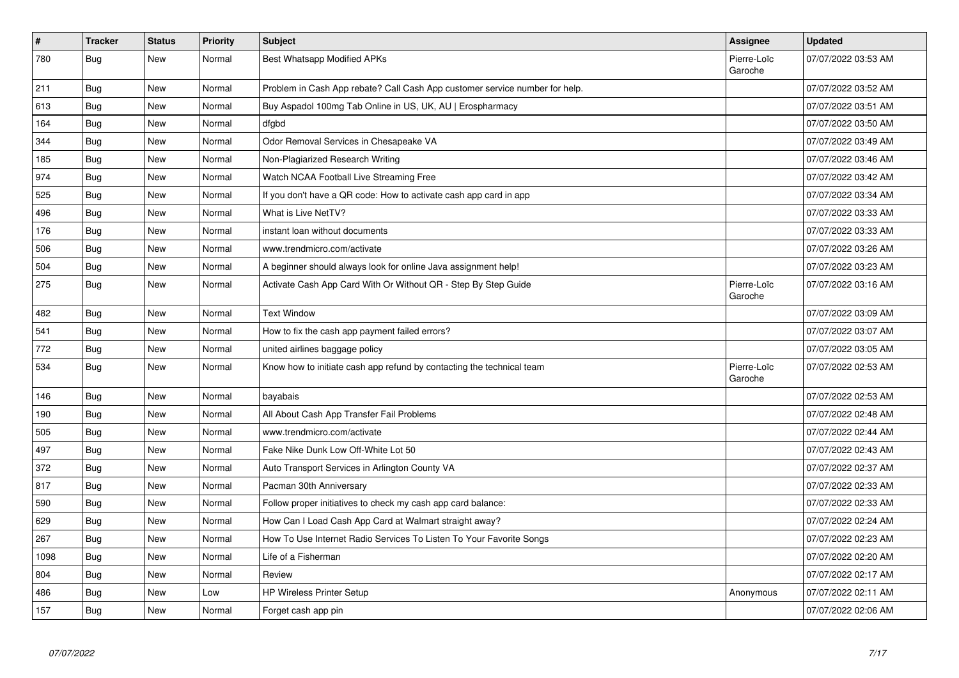| $\vert$ # | <b>Tracker</b> | <b>Status</b> | <b>Priority</b> | <b>Subject</b>                                                              | Assignee               | <b>Updated</b>      |
|-----------|----------------|---------------|-----------------|-----------------------------------------------------------------------------|------------------------|---------------------|
| 780       | Bug            | New           | Normal          | Best Whatsapp Modified APKs                                                 | Pierre-Loïc<br>Garoche | 07/07/2022 03:53 AM |
| 211       | Bug            | New           | Normal          | Problem in Cash App rebate? Call Cash App customer service number for help. |                        | 07/07/2022 03:52 AM |
| 613       | Bug            | New           | Normal          | Buy Aspadol 100mg Tab Online in US, UK, AU   Erospharmacy                   |                        | 07/07/2022 03:51 AM |
| 164       | Bug            | New           | Normal          | dfgbd                                                                       |                        | 07/07/2022 03:50 AM |
| 344       | <b>Bug</b>     | New           | Normal          | Odor Removal Services in Chesapeake VA                                      |                        | 07/07/2022 03:49 AM |
| 185       | Bug            | New           | Normal          | Non-Plagiarized Research Writing                                            |                        | 07/07/2022 03:46 AM |
| 974       | Bug            | New           | Normal          | Watch NCAA Football Live Streaming Free                                     |                        | 07/07/2022 03:42 AM |
| 525       | Bug            | <b>New</b>    | Normal          | If you don't have a QR code: How to activate cash app card in app           |                        | 07/07/2022 03:34 AM |
| 496       | <b>Bug</b>     | New           | Normal          | What is Live NetTV?                                                         |                        | 07/07/2022 03:33 AM |
| 176       | Bug            | New           | Normal          | instant loan without documents                                              |                        | 07/07/2022 03:33 AM |
| 506       | Bug            | New           | Normal          | www.trendmicro.com/activate                                                 |                        | 07/07/2022 03:26 AM |
| 504       | Bug            | New           | Normal          | A beginner should always look for online Java assignment help!              |                        | 07/07/2022 03:23 AM |
| 275       | Bug            | New           | Normal          | Activate Cash App Card With Or Without QR - Step By Step Guide              | Pierre-Loïc<br>Garoche | 07/07/2022 03:16 AM |
| 482       | Bug            | New           | Normal          | <b>Text Window</b>                                                          |                        | 07/07/2022 03:09 AM |
| 541       | <b>Bug</b>     | New           | Normal          | How to fix the cash app payment failed errors?                              |                        | 07/07/2022 03:07 AM |
| 772       | Bug            | New           | Normal          | united airlines baggage policy                                              |                        | 07/07/2022 03:05 AM |
| 534       | Bug            | New           | Normal          | Know how to initiate cash app refund by contacting the technical team       | Pierre-Loïc<br>Garoche | 07/07/2022 02:53 AM |
| 146       | <b>Bug</b>     | New           | Normal          | bayabais                                                                    |                        | 07/07/2022 02:53 AM |
| 190       | Bug            | New           | Normal          | All About Cash App Transfer Fail Problems                                   |                        | 07/07/2022 02:48 AM |
| 505       | Bug            | New           | Normal          | www.trendmicro.com/activate                                                 |                        | 07/07/2022 02:44 AM |
| 497       | <b>Bug</b>     | New           | Normal          | Fake Nike Dunk Low Off-White Lot 50                                         |                        | 07/07/2022 02:43 AM |
| 372       | Bug            | New           | Normal          | Auto Transport Services in Arlington County VA                              |                        | 07/07/2022 02:37 AM |
| 817       | <b>Bug</b>     | New           | Normal          | Pacman 30th Anniversary                                                     |                        | 07/07/2022 02:33 AM |
| 590       | Bug            | New           | Normal          | Follow proper initiatives to check my cash app card balance:                |                        | 07/07/2022 02:33 AM |
| 629       | Bug            | New           | Normal          | How Can I Load Cash App Card at Walmart straight away?                      |                        | 07/07/2022 02:24 AM |
| 267       | Bug            | New           | Normal          | How To Use Internet Radio Services To Listen To Your Favorite Songs         |                        | 07/07/2022 02:23 AM |
| 1098      | Bug            | New           | Normal          | Life of a Fisherman                                                         |                        | 07/07/2022 02:20 AM |
| 804       | Bug            | New           | Normal          | Review                                                                      |                        | 07/07/2022 02:17 AM |
| 486       | Bug            | New           | Low             | <b>HP Wireless Printer Setup</b>                                            | Anonymous              | 07/07/2022 02:11 AM |
| 157       | <b>Bug</b>     | New           | Normal          | Forget cash app pin                                                         |                        | 07/07/2022 02:06 AM |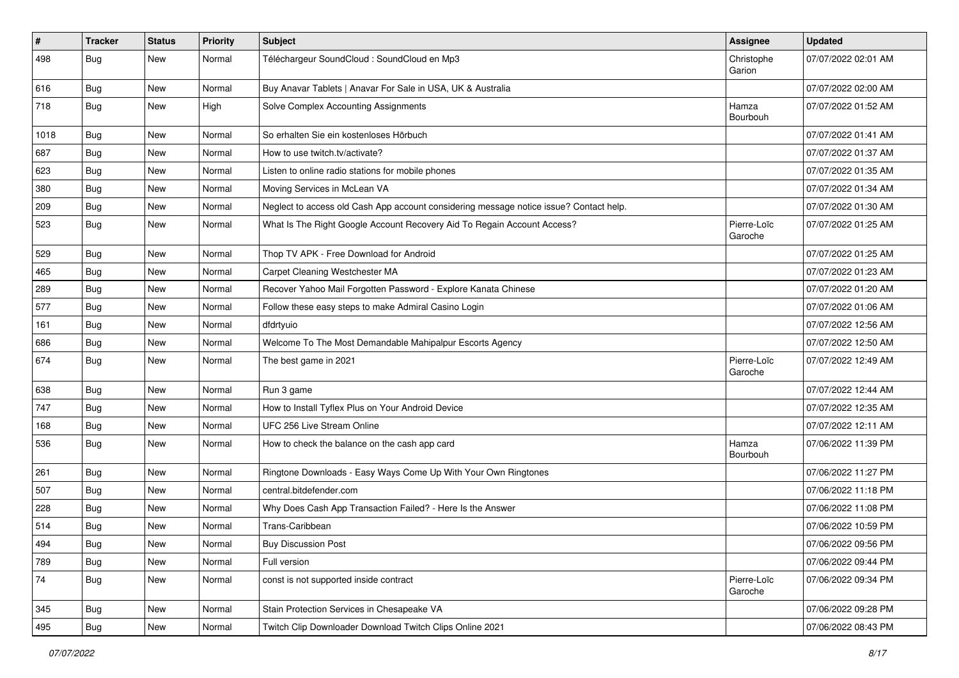| $\vert$ # | Tracker    | <b>Status</b> | Priority | Subject                                                                                | Assignee               | <b>Updated</b>      |
|-----------|------------|---------------|----------|----------------------------------------------------------------------------------------|------------------------|---------------------|
| 498       | <b>Bug</b> | New           | Normal   | Téléchargeur SoundCloud : SoundCloud en Mp3                                            | Christophe<br>Garion   | 07/07/2022 02:01 AM |
| 616       | <b>Bug</b> | New           | Normal   | Buy Anavar Tablets   Anavar For Sale in USA, UK & Australia                            |                        | 07/07/2022 02:00 AM |
| 718       | Bug        | New           | High     | Solve Complex Accounting Assignments                                                   | Hamza<br>Bourbouh      | 07/07/2022 01:52 AM |
| 1018      | Bug        | New           | Normal   | So erhalten Sie ein kostenloses Hörbuch                                                |                        | 07/07/2022 01:41 AM |
| 687       | <b>Bug</b> | New           | Normal   | How to use twitch.tv/activate?                                                         |                        | 07/07/2022 01:37 AM |
| 623       | <b>Bug</b> | New           | Normal   | Listen to online radio stations for mobile phones                                      |                        | 07/07/2022 01:35 AM |
| 380       | <b>Bug</b> | New           | Normal   | Moving Services in McLean VA                                                           |                        | 07/07/2022 01:34 AM |
| 209       | Bug        | New           | Normal   | Neglect to access old Cash App account considering message notice issue? Contact help. |                        | 07/07/2022 01:30 AM |
| 523       | <b>Bug</b> | New           | Normal   | What Is The Right Google Account Recovery Aid To Regain Account Access?                | Pierre-Loïc<br>Garoche | 07/07/2022 01:25 AM |
| 529       | <b>Bug</b> | New           | Normal   | Thop TV APK - Free Download for Android                                                |                        | 07/07/2022 01:25 AM |
| 465       | <b>Bug</b> | New           | Normal   | Carpet Cleaning Westchester MA                                                         |                        | 07/07/2022 01:23 AM |
| 289       | <b>Bug</b> | New           | Normal   | Recover Yahoo Mail Forgotten Password - Explore Kanata Chinese                         |                        | 07/07/2022 01:20 AM |
| 577       | <b>Bug</b> | New           | Normal   | Follow these easy steps to make Admiral Casino Login                                   |                        | 07/07/2022 01:06 AM |
| 161       | <b>Bug</b> | New           | Normal   | dfdrtyuio                                                                              |                        | 07/07/2022 12:56 AM |
| 686       | Bug        | New           | Normal   | Welcome To The Most Demandable Mahipalpur Escorts Agency                               |                        | 07/07/2022 12:50 AM |
| 674       | <b>Bug</b> | New           | Normal   | The best game in 2021                                                                  | Pierre-Loïc<br>Garoche | 07/07/2022 12:49 AM |
| 638       | <b>Bug</b> | New           | Normal   | Run 3 game                                                                             |                        | 07/07/2022 12:44 AM |
| 747       | Bug        | New           | Normal   | How to Install Tyflex Plus on Your Android Device                                      |                        | 07/07/2022 12:35 AM |
| 168       | <b>Bug</b> | New           | Normal   | UFC 256 Live Stream Online                                                             |                        | 07/07/2022 12:11 AM |
| 536       | <b>Bug</b> | New           | Normal   | How to check the balance on the cash app card                                          | Hamza<br>Bourbouh      | 07/06/2022 11:39 PM |
| 261       | Bug        | New           | Normal   | Ringtone Downloads - Easy Ways Come Up With Your Own Ringtones                         |                        | 07/06/2022 11:27 PM |
| 507       | <b>Bug</b> | New           | Normal   | central.bitdefender.com                                                                |                        | 07/06/2022 11:18 PM |
| 228       | Bug        | New           | Normal   | Why Does Cash App Transaction Failed? - Here Is the Answer                             |                        | 07/06/2022 11:08 PM |
| 514       | <b>Bug</b> | New           | Normal   | Trans-Caribbean                                                                        |                        | 07/06/2022 10:59 PM |
| 494       | <b>Bug</b> | New           | Normal   | <b>Buy Discussion Post</b>                                                             |                        | 07/06/2022 09:56 PM |
| 789       | Bug        | New           | Normal   | Full version                                                                           |                        | 07/06/2022 09:44 PM |
| 74        | Bug        | New           | Normal   | const is not supported inside contract                                                 | Pierre-Loïc<br>Garoche | 07/06/2022 09:34 PM |
| 345       | Bug        | New           | Normal   | Stain Protection Services in Chesapeake VA                                             |                        | 07/06/2022 09:28 PM |
| 495       | <b>Bug</b> | New           | Normal   | Twitch Clip Downloader Download Twitch Clips Online 2021                               |                        | 07/06/2022 08:43 PM |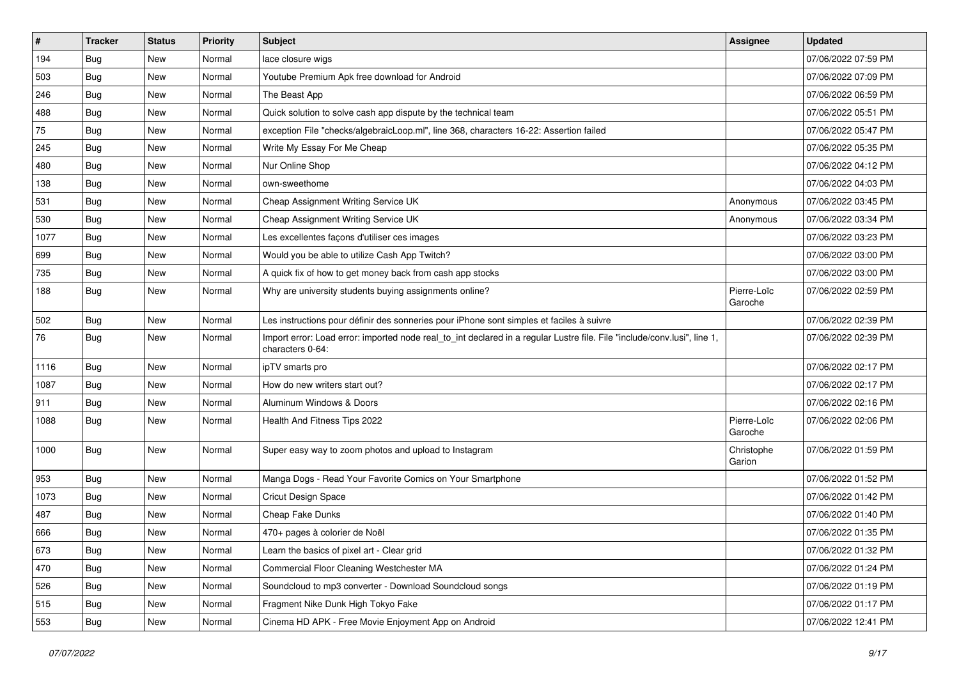| $\vert$ # | <b>Tracker</b> | <b>Status</b> | <b>Priority</b> | Subject                                                                                                                                      | <b>Assignee</b>        | <b>Updated</b>      |
|-----------|----------------|---------------|-----------------|----------------------------------------------------------------------------------------------------------------------------------------------|------------------------|---------------------|
| 194       | <b>Bug</b>     | New           | Normal          | lace closure wigs                                                                                                                            |                        | 07/06/2022 07:59 PM |
| 503       | <b>Bug</b>     | New           | Normal          | Youtube Premium Apk free download for Android                                                                                                |                        | 07/06/2022 07:09 PM |
| 246       | Bug            | New           | Normal          | The Beast App                                                                                                                                |                        | 07/06/2022 06:59 PM |
| 488       | <b>Bug</b>     | New           | Normal          | Quick solution to solve cash app dispute by the technical team                                                                               |                        | 07/06/2022 05:51 PM |
| 75        | Bug            | New           | Normal          | exception File "checks/algebraicLoop.ml", line 368, characters 16-22: Assertion failed                                                       |                        | 07/06/2022 05:47 PM |
| 245       | <b>Bug</b>     | New           | Normal          | Write My Essay For Me Cheap                                                                                                                  |                        | 07/06/2022 05:35 PM |
| 480       | Bug            | New           | Normal          | Nur Online Shop                                                                                                                              |                        | 07/06/2022 04:12 PM |
| 138       | Bug            | New           | Normal          | own-sweethome                                                                                                                                |                        | 07/06/2022 04:03 PM |
| 531       | <b>Bug</b>     | New           | Normal          | Cheap Assignment Writing Service UK                                                                                                          | Anonymous              | 07/06/2022 03:45 PM |
| 530       | Bug            | New           | Normal          | Cheap Assignment Writing Service UK                                                                                                          | Anonymous              | 07/06/2022 03:34 PM |
| 1077      | <b>Bug</b>     | New           | Normal          | Les excellentes façons d'utiliser ces images                                                                                                 |                        | 07/06/2022 03:23 PM |
| 699       | <b>Bug</b>     | New           | Normal          | Would you be able to utilize Cash App Twitch?                                                                                                |                        | 07/06/2022 03:00 PM |
| 735       | Bug            | New           | Normal          | A quick fix of how to get money back from cash app stocks                                                                                    |                        | 07/06/2022 03:00 PM |
| 188       | <b>Bug</b>     | New           | Normal          | Why are university students buying assignments online?                                                                                       | Pierre-Loïc<br>Garoche | 07/06/2022 02:59 PM |
| 502       | <b>Bug</b>     | New           | Normal          | Les instructions pour définir des sonneries pour iPhone sont simples et faciles à suivre                                                     |                        | 07/06/2022 02:39 PM |
| 76        | Bug            | New           | Normal          | Import error: Load error: imported node real_to_int declared in a regular Lustre file. File "include/conv.lusi", line 1,<br>characters 0-64: |                        | 07/06/2022 02:39 PM |
| 1116      | Bug            | New           | Normal          | ipTV smarts pro                                                                                                                              |                        | 07/06/2022 02:17 PM |
| 1087      | Bug            | New           | Normal          | How do new writers start out?                                                                                                                |                        | 07/06/2022 02:17 PM |
| 911       | <b>Bug</b>     | New           | Normal          | Aluminum Windows & Doors                                                                                                                     |                        | 07/06/2022 02:16 PM |
| 1088      | Bug            | New           | Normal          | Health And Fitness Tips 2022                                                                                                                 | Pierre-Loïc<br>Garoche | 07/06/2022 02:06 PM |
| 1000      | Bug            | New           | Normal          | Super easy way to zoom photos and upload to Instagram                                                                                        | Christophe<br>Garion   | 07/06/2022 01:59 PM |
| 953       | Bug            | New           | Normal          | Manga Dogs - Read Your Favorite Comics on Your Smartphone                                                                                    |                        | 07/06/2022 01:52 PM |
| 1073      | <b>Bug</b>     | New           | Normal          | Cricut Design Space                                                                                                                          |                        | 07/06/2022 01:42 PM |
| 487       | <b>Bug</b>     | New           | Normal          | Cheap Fake Dunks                                                                                                                             |                        | 07/06/2022 01:40 PM |
| 666       | <b>Bug</b>     | New           | Normal          | 470+ pages à colorier de Noël                                                                                                                |                        | 07/06/2022 01:35 PM |
| 673       | <b>Bug</b>     | New           | Normal          | Learn the basics of pixel art - Clear grid                                                                                                   |                        | 07/06/2022 01:32 PM |
| 470       | Bug            | New           | Normal          | Commercial Floor Cleaning Westchester MA                                                                                                     |                        | 07/06/2022 01:24 PM |
| 526       | <b>Bug</b>     | New           | Normal          | Soundcloud to mp3 converter - Download Soundcloud songs                                                                                      |                        | 07/06/2022 01:19 PM |
| 515       | <b>Bug</b>     | New           | Normal          | Fragment Nike Dunk High Tokyo Fake                                                                                                           |                        | 07/06/2022 01:17 PM |
| 553       | Bug            | New           | Normal          | Cinema HD APK - Free Movie Enjoyment App on Android                                                                                          |                        | 07/06/2022 12:41 PM |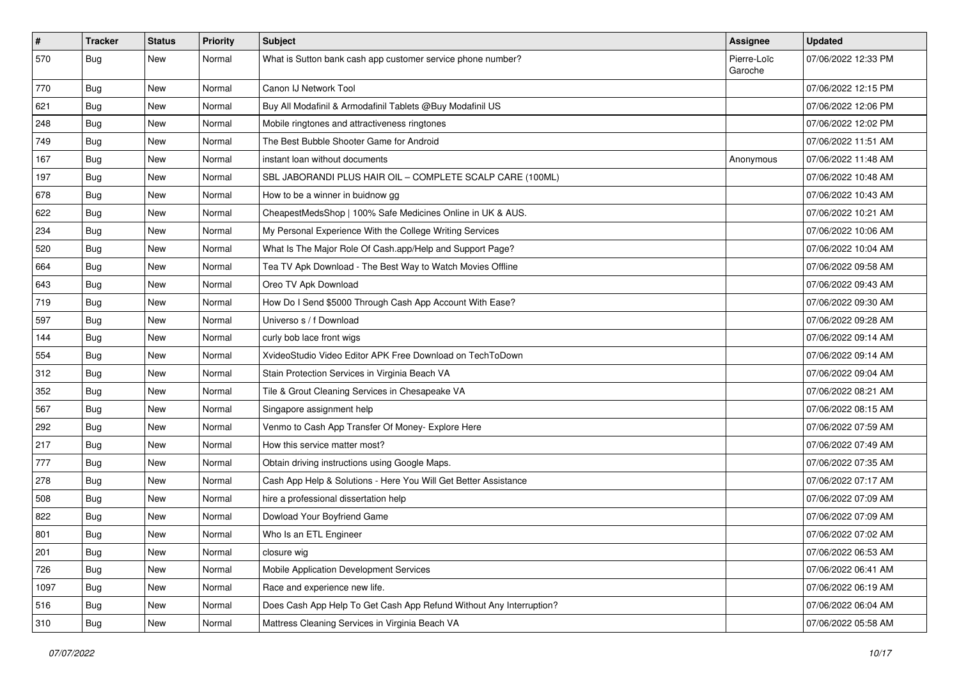| $\vert$ # | Tracker    | <b>Status</b> | <b>Priority</b> | <b>Subject</b>                                                      | Assignee               | <b>Updated</b>      |
|-----------|------------|---------------|-----------------|---------------------------------------------------------------------|------------------------|---------------------|
| 570       | <b>Bug</b> | New           | Normal          | What is Sutton bank cash app customer service phone number?         | Pierre-Loïc<br>Garoche | 07/06/2022 12:33 PM |
| 770       | <b>Bug</b> | New           | Normal          | Canon IJ Network Tool                                               |                        | 07/06/2022 12:15 PM |
| 621       | Bug        | New           | Normal          | Buy All Modafinil & Armodafinil Tablets @Buy Modafinil US           |                        | 07/06/2022 12:06 PM |
| 248       | Bug        | New           | Normal          | Mobile ringtones and attractiveness ringtones                       |                        | 07/06/2022 12:02 PM |
| 749       | <b>Bug</b> | New           | Normal          | The Best Bubble Shooter Game for Android                            |                        | 07/06/2022 11:51 AM |
| 167       | <b>Bug</b> | New           | Normal          | instant loan without documents                                      | Anonymous              | 07/06/2022 11:48 AM |
| 197       | Bug        | New           | Normal          | SBL JABORANDI PLUS HAIR OIL - COMPLETE SCALP CARE (100ML)           |                        | 07/06/2022 10:48 AM |
| 678       | <b>Bug</b> | New           | Normal          | How to be a winner in buidnow gg                                    |                        | 07/06/2022 10:43 AM |
| 622       | Bug        | New           | Normal          | CheapestMedsShop   100% Safe Medicines Online in UK & AUS.          |                        | 07/06/2022 10:21 AM |
| 234       | <b>Bug</b> | New           | Normal          | My Personal Experience With the College Writing Services            |                        | 07/06/2022 10:06 AM |
| 520       | Bug        | New           | Normal          | What Is The Major Role Of Cash.app/Help and Support Page?           |                        | 07/06/2022 10:04 AM |
| 664       | Bug        | New           | Normal          | Tea TV Apk Download - The Best Way to Watch Movies Offline          |                        | 07/06/2022 09:58 AM |
| 643       | <b>Bug</b> | New           | Normal          | Oreo TV Apk Download                                                |                        | 07/06/2022 09:43 AM |
| 719       | Bug        | New           | Normal          | How Do I Send \$5000 Through Cash App Account With Ease?            |                        | 07/06/2022 09:30 AM |
| 597       | <b>Bug</b> | New           | Normal          | Universo s / f Download                                             |                        | 07/06/2022 09:28 AM |
| 144       | Bug        | New           | Normal          | curly bob lace front wigs                                           |                        | 07/06/2022 09:14 AM |
| 554       | Bug        | New           | Normal          | XvideoStudio Video Editor APK Free Download on TechToDown           |                        | 07/06/2022 09:14 AM |
| 312       | Bug        | New           | Normal          | Stain Protection Services in Virginia Beach VA                      |                        | 07/06/2022 09:04 AM |
| 352       | <b>Bug</b> | New           | Normal          | Tile & Grout Cleaning Services in Chesapeake VA                     |                        | 07/06/2022 08:21 AM |
| 567       | Bug        | New           | Normal          | Singapore assignment help                                           |                        | 07/06/2022 08:15 AM |
| 292       | <b>Bug</b> | New           | Normal          | Venmo to Cash App Transfer Of Money- Explore Here                   |                        | 07/06/2022 07:59 AM |
| 217       | <b>Bug</b> | New           | Normal          | How this service matter most?                                       |                        | 07/06/2022 07:49 AM |
| 777       | <b>Bug</b> | New           | Normal          | Obtain driving instructions using Google Maps.                      |                        | 07/06/2022 07:35 AM |
| 278       | <b>Bug</b> | New           | Normal          | Cash App Help & Solutions - Here You Will Get Better Assistance     |                        | 07/06/2022 07:17 AM |
| 508       | <b>Bug</b> | New           | Normal          | hire a professional dissertation help                               |                        | 07/06/2022 07:09 AM |
| 822       | Bug        | New           | Normal          | Dowload Your Boyfriend Game                                         |                        | 07/06/2022 07:09 AM |
| 801       | <b>Bug</b> | New           | Normal          | Who Is an ETL Engineer                                              |                        | 07/06/2022 07:02 AM |
| 201       | Bug        | New           | Normal          | closure wig                                                         |                        | 07/06/2022 06:53 AM |
| 726       | Bug        | New           | Normal          | Mobile Application Development Services                             |                        | 07/06/2022 06:41 AM |
| 1097      | Bug        | New           | Normal          | Race and experience new life.                                       |                        | 07/06/2022 06:19 AM |
| 516       | Bug        | New           | Normal          | Does Cash App Help To Get Cash App Refund Without Any Interruption? |                        | 07/06/2022 06:04 AM |
| 310       | <b>Bug</b> | New           | Normal          | Mattress Cleaning Services in Virginia Beach VA                     |                        | 07/06/2022 05:58 AM |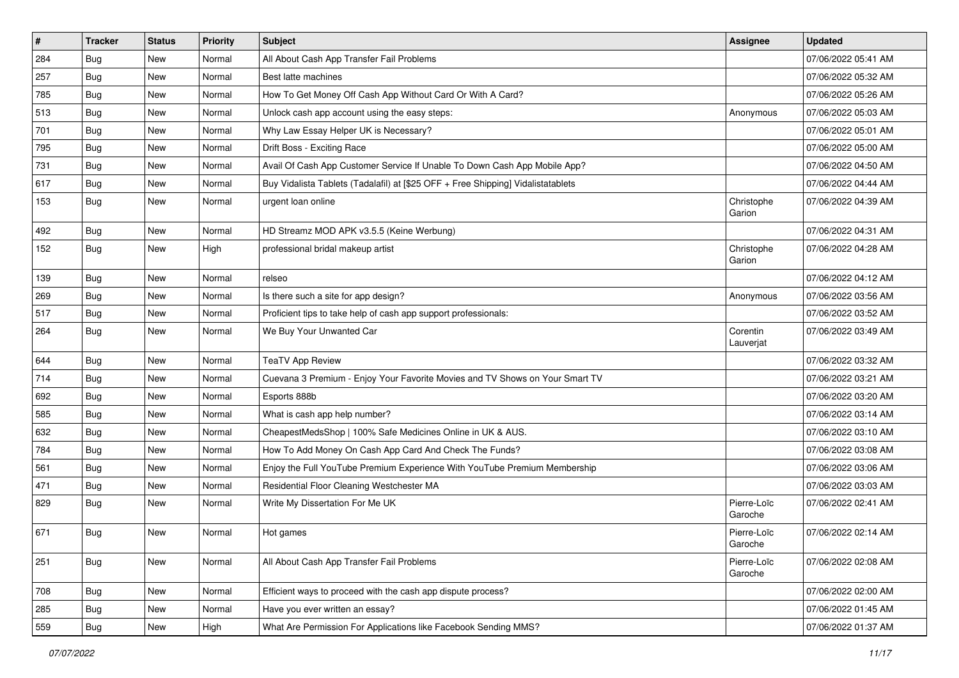| $\pmb{\#}$ | <b>Tracker</b> | <b>Status</b> | Priority | <b>Subject</b>                                                                   | <b>Assignee</b>        | <b>Updated</b>      |
|------------|----------------|---------------|----------|----------------------------------------------------------------------------------|------------------------|---------------------|
| 284        | Bug            | New           | Normal   | All About Cash App Transfer Fail Problems                                        |                        | 07/06/2022 05:41 AM |
| 257        | Bug            | <b>New</b>    | Normal   | Best latte machines                                                              |                        | 07/06/2022 05:32 AM |
| 785        | Bug            | New           | Normal   | How To Get Money Off Cash App Without Card Or With A Card?                       |                        | 07/06/2022 05:26 AM |
| 513        | Bug            | New           | Normal   | Unlock cash app account using the easy steps:                                    | Anonymous              | 07/06/2022 05:03 AM |
| 701        | Bug            | New           | Normal   | Why Law Essay Helper UK is Necessary?                                            |                        | 07/06/2022 05:01 AM |
| 795        | Bug            | New           | Normal   | Drift Boss - Exciting Race                                                       |                        | 07/06/2022 05:00 AM |
| 731        | <b>Bug</b>     | New           | Normal   | Avail Of Cash App Customer Service If Unable To Down Cash App Mobile App?        |                        | 07/06/2022 04:50 AM |
| 617        | Bug            | New           | Normal   | Buy Vidalista Tablets (Tadalafil) at [\$25 OFF + Free Shipping] Vidalistatablets |                        | 07/06/2022 04:44 AM |
| 153        | Bug            | New           | Normal   | urgent loan online                                                               | Christophe<br>Garion   | 07/06/2022 04:39 AM |
| 492        | Bug            | New           | Normal   | HD Streamz MOD APK v3.5.5 (Keine Werbung)                                        |                        | 07/06/2022 04:31 AM |
| 152        | <b>Bug</b>     | New           | High     | professional bridal makeup artist                                                | Christophe<br>Garion   | 07/06/2022 04:28 AM |
| 139        | Bug            | New           | Normal   | relseo                                                                           |                        | 07/06/2022 04:12 AM |
| 269        | Bug            | New           | Normal   | Is there such a site for app design?                                             | Anonymous              | 07/06/2022 03:56 AM |
| 517        | Bug            | New           | Normal   | Proficient tips to take help of cash app support professionals:                  |                        | 07/06/2022 03:52 AM |
| 264        | <b>Bug</b>     | New           | Normal   | We Buy Your Unwanted Car                                                         | Corentin<br>Lauverjat  | 07/06/2022 03:49 AM |
| 644        | Bug            | New           | Normal   | <b>TeaTV App Review</b>                                                          |                        | 07/06/2022 03:32 AM |
| 714        | <b>Bug</b>     | New           | Normal   | Cuevana 3 Premium - Enjoy Your Favorite Movies and TV Shows on Your Smart TV     |                        | 07/06/2022 03:21 AM |
| 692        | Bug            | <b>New</b>    | Normal   | Esports 888b                                                                     |                        | 07/06/2022 03:20 AM |
| 585        | <b>Bug</b>     | New           | Normal   | What is cash app help number?                                                    |                        | 07/06/2022 03:14 AM |
| 632        | <b>Bug</b>     | <b>New</b>    | Normal   | CheapestMedsShop   100% Safe Medicines Online in UK & AUS.                       |                        | 07/06/2022 03:10 AM |
| 784        | <b>Bug</b>     | New           | Normal   | How To Add Money On Cash App Card And Check The Funds?                           |                        | 07/06/2022 03:08 AM |
| 561        | Bug            | New           | Normal   | Enjoy the Full YouTube Premium Experience With YouTube Premium Membership        |                        | 07/06/2022 03:06 AM |
| 471        | <b>Bug</b>     | New           | Normal   | Residential Floor Cleaning Westchester MA                                        |                        | 07/06/2022 03:03 AM |
| 829        | <b>Bug</b>     | New           | Normal   | Write My Dissertation For Me UK                                                  | Pierre-Loïc<br>Garoche | 07/06/2022 02:41 AM |
| 671        | <b>Bug</b>     | New           | Normal   | Hot games                                                                        | Pierre-Loïc<br>Garoche | 07/06/2022 02:14 AM |
| 251        | <b>Bug</b>     | New           | Normal   | All About Cash App Transfer Fail Problems                                        | Pierre-Loïc<br>Garoche | 07/06/2022 02:08 AM |
| 708        | Bug            | New           | Normal   | Efficient ways to proceed with the cash app dispute process?                     |                        | 07/06/2022 02:00 AM |
| 285        | Bug            | New           | Normal   | Have you ever written an essay?                                                  |                        | 07/06/2022 01:45 AM |
| 559        | <b>Bug</b>     | New           | High     | What Are Permission For Applications like Facebook Sending MMS?                  |                        | 07/06/2022 01:37 AM |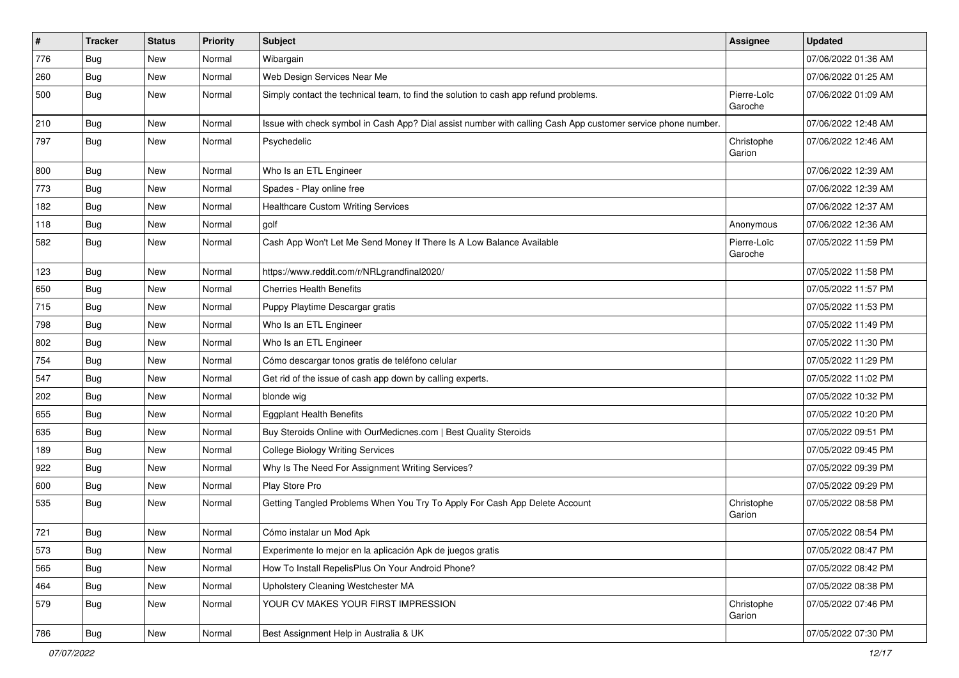| #   | <b>Tracker</b> | <b>Status</b> | <b>Priority</b> | <b>Subject</b>                                                                                               | <b>Assignee</b>        | <b>Updated</b>      |
|-----|----------------|---------------|-----------------|--------------------------------------------------------------------------------------------------------------|------------------------|---------------------|
| 776 | <b>Bug</b>     | New           | Normal          | Wibargain                                                                                                    |                        | 07/06/2022 01:36 AM |
| 260 | Bug            | New           | Normal          | Web Design Services Near Me                                                                                  |                        | 07/06/2022 01:25 AM |
| 500 | Bug            | New           | Normal          | Simply contact the technical team, to find the solution to cash app refund problems.                         | Pierre-Loïc<br>Garoche | 07/06/2022 01:09 AM |
| 210 | Bug            | New           | Normal          | Issue with check symbol in Cash App? Dial assist number with calling Cash App customer service phone number. |                        | 07/06/2022 12:48 AM |
| 797 | Bug            | New           | Normal          | Psychedelic                                                                                                  | Christophe<br>Garion   | 07/06/2022 12:46 AM |
| 800 | Bug            | New           | Normal          | Who Is an ETL Engineer                                                                                       |                        | 07/06/2022 12:39 AM |
| 773 | <b>Bug</b>     | New           | Normal          | Spades - Play online free                                                                                    |                        | 07/06/2022 12:39 AM |
| 182 | Bug            | New           | Normal          | Healthcare Custom Writing Services                                                                           |                        | 07/06/2022 12:37 AM |
| 118 | <b>Bug</b>     | New           | Normal          | golf                                                                                                         | Anonymous              | 07/06/2022 12:36 AM |
| 582 | Bug            | New           | Normal          | Cash App Won't Let Me Send Money If There Is A Low Balance Available                                         | Pierre-Loïc<br>Garoche | 07/05/2022 11:59 PM |
| 123 | Bug            | New           | Normal          | https://www.reddit.com/r/NRLgrandfinal2020/                                                                  |                        | 07/05/2022 11:58 PM |
| 650 | Bug            | New           | Normal          | <b>Cherries Health Benefits</b>                                                                              |                        | 07/05/2022 11:57 PM |
| 715 | Bug            | New           | Normal          | Puppy Playtime Descargar gratis                                                                              |                        | 07/05/2022 11:53 PM |
| 798 | <b>Bug</b>     | New           | Normal          | Who Is an ETL Engineer                                                                                       |                        | 07/05/2022 11:49 PM |
| 802 | Bug            | New           | Normal          | Who Is an ETL Engineer                                                                                       |                        | 07/05/2022 11:30 PM |
| 754 | <b>Bug</b>     | New           | Normal          | Cómo descargar tonos gratis de teléfono celular                                                              |                        | 07/05/2022 11:29 PM |
| 547 | Bug            | New           | Normal          | Get rid of the issue of cash app down by calling experts.                                                    |                        | 07/05/2022 11:02 PM |
| 202 | Bug            | New           | Normal          | blonde wig                                                                                                   |                        | 07/05/2022 10:32 PM |
| 655 | <b>Bug</b>     | New           | Normal          | <b>Eggplant Health Benefits</b>                                                                              |                        | 07/05/2022 10:20 PM |
| 635 | Bug            | New           | Normal          | Buy Steroids Online with OurMedicnes.com   Best Quality Steroids                                             |                        | 07/05/2022 09:51 PM |
| 189 | Bug            | New           | Normal          | <b>College Biology Writing Services</b>                                                                      |                        | 07/05/2022 09:45 PM |
| 922 | <b>Bug</b>     | New           | Normal          | Why Is The Need For Assignment Writing Services?                                                             |                        | 07/05/2022 09:39 PM |
| 600 | Bug            | New           | Normal          | Play Store Pro                                                                                               |                        | 07/05/2022 09:29 PM |
| 535 | Bug            | New           | Normal          | Getting Tangled Problems When You Try To Apply For Cash App Delete Account                                   | Christophe<br>Garion   | 07/05/2022 08:58 PM |
| 721 | <b>Bug</b>     | New           | Normal          | Cómo instalar un Mod Apk                                                                                     |                        | 07/05/2022 08:54 PM |
| 573 | Bug            | New           | Normal          | Experimente lo mejor en la aplicación Apk de juegos gratis                                                   |                        | 07/05/2022 08:47 PM |
| 565 | Bug            | New           | Normal          | How To Install RepelisPlus On Your Android Phone?                                                            |                        | 07/05/2022 08:42 PM |
| 464 | Bug            | New           | Normal          | Upholstery Cleaning Westchester MA                                                                           |                        | 07/05/2022 08:38 PM |
| 579 | Bug            | New           | Normal          | YOUR CV MAKES YOUR FIRST IMPRESSION                                                                          | Christophe<br>Garion   | 07/05/2022 07:46 PM |
| 786 | Bug            | New           | Normal          | Best Assignment Help in Australia & UK                                                                       |                        | 07/05/2022 07:30 PM |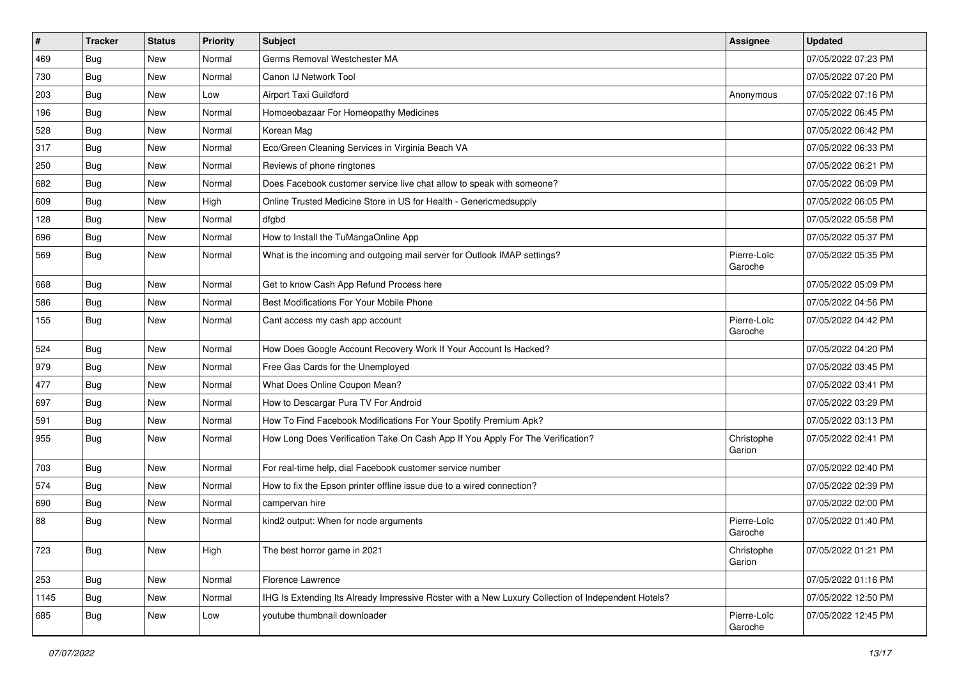| $\vert$ # | <b>Tracker</b> | <b>Status</b> | <b>Priority</b> | Subject                                                                                            | <b>Assignee</b>        | <b>Updated</b>      |
|-----------|----------------|---------------|-----------------|----------------------------------------------------------------------------------------------------|------------------------|---------------------|
| 469       | <b>Bug</b>     | New           | Normal          | Germs Removal Westchester MA                                                                       |                        | 07/05/2022 07:23 PM |
| 730       | Bug            | <b>New</b>    | Normal          | Canon IJ Network Tool                                                                              |                        | 07/05/2022 07:20 PM |
| 203       | Bug            | New           | Low             | Airport Taxi Guildford                                                                             | Anonymous              | 07/05/2022 07:16 PM |
| 196       | <b>Bug</b>     | New           | Normal          | Homoeobazaar For Homeopathy Medicines                                                              |                        | 07/05/2022 06:45 PM |
| 528       | <b>Bug</b>     | <b>New</b>    | Normal          | Korean Mag                                                                                         |                        | 07/05/2022 06:42 PM |
| 317       | <b>Bug</b>     | New           | Normal          | Eco/Green Cleaning Services in Virginia Beach VA                                                   |                        | 07/05/2022 06:33 PM |
| 250       | Bug            | New           | Normal          | Reviews of phone ringtones                                                                         |                        | 07/05/2022 06:21 PM |
| 682       | Bug            | New           | Normal          | Does Facebook customer service live chat allow to speak with someone?                              |                        | 07/05/2022 06:09 PM |
| 609       | <b>Bug</b>     | New           | High            | Online Trusted Medicine Store in US for Health - Genericmedsupply                                  |                        | 07/05/2022 06:05 PM |
| 128       | Bug            | New           | Normal          | dfgbd                                                                                              |                        | 07/05/2022 05:58 PM |
| 696       | <b>Bug</b>     | New           | Normal          | How to Install the TuMangaOnline App                                                               |                        | 07/05/2022 05:37 PM |
| 569       | Bug            | New           | Normal          | What is the incoming and outgoing mail server for Outlook IMAP settings?                           | Pierre-Loïc<br>Garoche | 07/05/2022 05:35 PM |
| 668       | <b>Bug</b>     | New           | Normal          | Get to know Cash App Refund Process here                                                           |                        | 07/05/2022 05:09 PM |
| 586       | Bug            | New           | Normal          | Best Modifications For Your Mobile Phone                                                           |                        | 07/05/2022 04:56 PM |
| 155       | Bug            | New           | Normal          | Cant access my cash app account                                                                    | Pierre-Loïc<br>Garoche | 07/05/2022 04:42 PM |
| 524       | Bug            | <b>New</b>    | Normal          | How Does Google Account Recovery Work If Your Account Is Hacked?                                   |                        | 07/05/2022 04:20 PM |
| 979       | <b>Bug</b>     | New           | Normal          | Free Gas Cards for the Unemployed                                                                  |                        | 07/05/2022 03:45 PM |
| 477       | Bug            | New           | Normal          | What Does Online Coupon Mean?                                                                      |                        | 07/05/2022 03:41 PM |
| 697       | Bug            | <b>New</b>    | Normal          | How to Descargar Pura TV For Android                                                               |                        | 07/05/2022 03:29 PM |
| 591       | Bug            | New           | Normal          | How To Find Facebook Modifications For Your Spotify Premium Apk?                                   |                        | 07/05/2022 03:13 PM |
| 955       | Bug            | <b>New</b>    | Normal          | How Long Does Verification Take On Cash App If You Apply For The Verification?                     | Christophe<br>Garion   | 07/05/2022 02:41 PM |
| 703       | Bug            | <b>New</b>    | Normal          | For real-time help, dial Facebook customer service number                                          |                        | 07/05/2022 02:40 PM |
| 574       | Bug            | <b>New</b>    | Normal          | How to fix the Epson printer offline issue due to a wired connection?                              |                        | 07/05/2022 02:39 PM |
| 690       | <b>Bug</b>     | New           | Normal          | campervan hire                                                                                     |                        | 07/05/2022 02:00 PM |
| 88        | Bug            | New           | Normal          | kind2 output: When for node arguments                                                              | Pierre-Loïc<br>Garoche | 07/05/2022 01:40 PM |
| 723       | <b>Bug</b>     | New           | High            | The best horror game in 2021                                                                       | Christophe<br>Garion   | 07/05/2022 01:21 PM |
| 253       | Bug            | New           | Normal          | Florence Lawrence                                                                                  |                        | 07/05/2022 01:16 PM |
| 1145      | Bug            | New           | Normal          | IHG Is Extending Its Already Impressive Roster with a New Luxury Collection of Independent Hotels? |                        | 07/05/2022 12:50 PM |
| 685       | <b>Bug</b>     | New           | Low             | youtube thumbnail downloader                                                                       | Pierre-Loïc<br>Garoche | 07/05/2022 12:45 PM |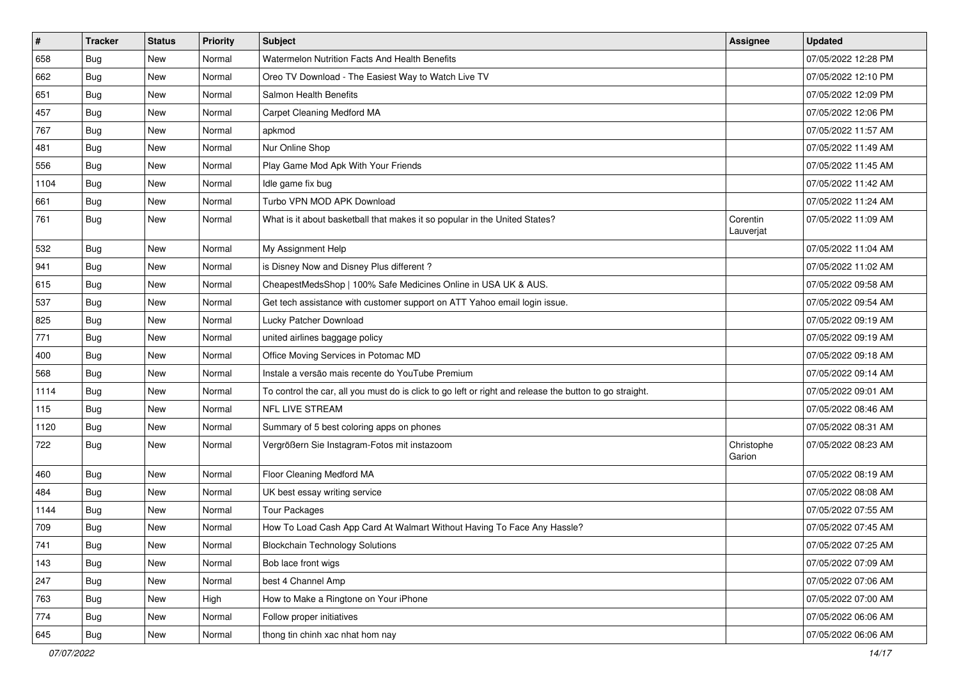| $\vert$ # | <b>Tracker</b> | <b>Status</b> | <b>Priority</b> | <b>Subject</b>                                                                                          | <b>Assignee</b>       | <b>Updated</b>      |
|-----------|----------------|---------------|-----------------|---------------------------------------------------------------------------------------------------------|-----------------------|---------------------|
| 658       | <b>Bug</b>     | New           | Normal          | Watermelon Nutrition Facts And Health Benefits                                                          |                       | 07/05/2022 12:28 PM |
| 662       | Bug            | New           | Normal          | Oreo TV Download - The Easiest Way to Watch Live TV                                                     |                       | 07/05/2022 12:10 PM |
| 651       | Bug            | New           | Normal          | Salmon Health Benefits                                                                                  |                       | 07/05/2022 12:09 PM |
| 457       | <b>Bug</b>     | New           | Normal          | Carpet Cleaning Medford MA                                                                              |                       | 07/05/2022 12:06 PM |
| 767       | <b>Bug</b>     | New           | Normal          | apkmod                                                                                                  |                       | 07/05/2022 11:57 AM |
| 481       | <b>Bug</b>     | New           | Normal          | Nur Online Shop                                                                                         |                       | 07/05/2022 11:49 AM |
| 556       | Bug            | New           | Normal          | Play Game Mod Apk With Your Friends                                                                     |                       | 07/05/2022 11:45 AM |
| 1104      | Bug            | New           | Normal          | Idle game fix bug                                                                                       |                       | 07/05/2022 11:42 AM |
| 661       | <b>Bug</b>     | New           | Normal          | Turbo VPN MOD APK Download                                                                              |                       | 07/05/2022 11:24 AM |
| 761       | Bug            | New           | Normal          | What is it about basketball that makes it so popular in the United States?                              | Corentin<br>Lauverjat | 07/05/2022 11:09 AM |
| 532       | <b>Bug</b>     | New           | Normal          | My Assignment Help                                                                                      |                       | 07/05/2022 11:04 AM |
| 941       | Bug            | New           | Normal          | is Disney Now and Disney Plus different?                                                                |                       | 07/05/2022 11:02 AM |
| 615       | <b>Bug</b>     | New           | Normal          | CheapestMedsShop   100% Safe Medicines Online in USA UK & AUS.                                          |                       | 07/05/2022 09:58 AM |
| 537       | Bug            | New           | Normal          | Get tech assistance with customer support on ATT Yahoo email login issue.                               |                       | 07/05/2022 09:54 AM |
| 825       | Bug            | New           | Normal          | Lucky Patcher Download                                                                                  |                       | 07/05/2022 09:19 AM |
| 771       | Bug            | New           | Normal          | united airlines baggage policy                                                                          |                       | 07/05/2022 09:19 AM |
| 400       | Bug            | New           | Normal          | Office Moving Services in Potomac MD                                                                    |                       | 07/05/2022 09:18 AM |
| 568       | Bug            | New           | Normal          | Instale a versão mais recente do YouTube Premium                                                        |                       | 07/05/2022 09:14 AM |
| 1114      | Bug            | New           | Normal          | To control the car, all you must do is click to go left or right and release the button to go straight. |                       | 07/05/2022 09:01 AM |
| 115       | Bug            | New           | Normal          | <b>NFL LIVE STREAM</b>                                                                                  |                       | 07/05/2022 08:46 AM |
| 1120      | Bug            | New           | Normal          | Summary of 5 best coloring apps on phones                                                               |                       | 07/05/2022 08:31 AM |
| 722       | Bug            | New           | Normal          | Vergrößern Sie Instagram-Fotos mit instazoom                                                            | Christophe<br>Garion  | 07/05/2022 08:23 AM |
| 460       | Bug            | New           | Normal          | Floor Cleaning Medford MA                                                                               |                       | 07/05/2022 08:19 AM |
| 484       | Bug            | New           | Normal          | UK best essay writing service                                                                           |                       | 07/05/2022 08:08 AM |
| 1144      | <b>Bug</b>     | New           | Normal          | <b>Tour Packages</b>                                                                                    |                       | 07/05/2022 07:55 AM |
| 709       | <b>Bug</b>     | New           | Normal          | How To Load Cash App Card At Walmart Without Having To Face Any Hassle?                                 |                       | 07/05/2022 07:45 AM |
| 741       | Bug            | New           | Normal          | <b>Blockchain Technology Solutions</b>                                                                  |                       | 07/05/2022 07:25 AM |
| 143       | Bug            | New           | Normal          | Bob lace front wigs                                                                                     |                       | 07/05/2022 07:09 AM |
| 247       | Bug            | New           | Normal          | best 4 Channel Amp                                                                                      |                       | 07/05/2022 07:06 AM |
| 763       | <b>Bug</b>     | New           | High            | How to Make a Ringtone on Your iPhone                                                                   |                       | 07/05/2022 07:00 AM |
| 774       | <b>Bug</b>     | New           | Normal          | Follow proper initiatives                                                                               |                       | 07/05/2022 06:06 AM |
| 645       | <b>Bug</b>     | New           | Normal          | thong tin chinh xac nhat hom nay                                                                        |                       | 07/05/2022 06:06 AM |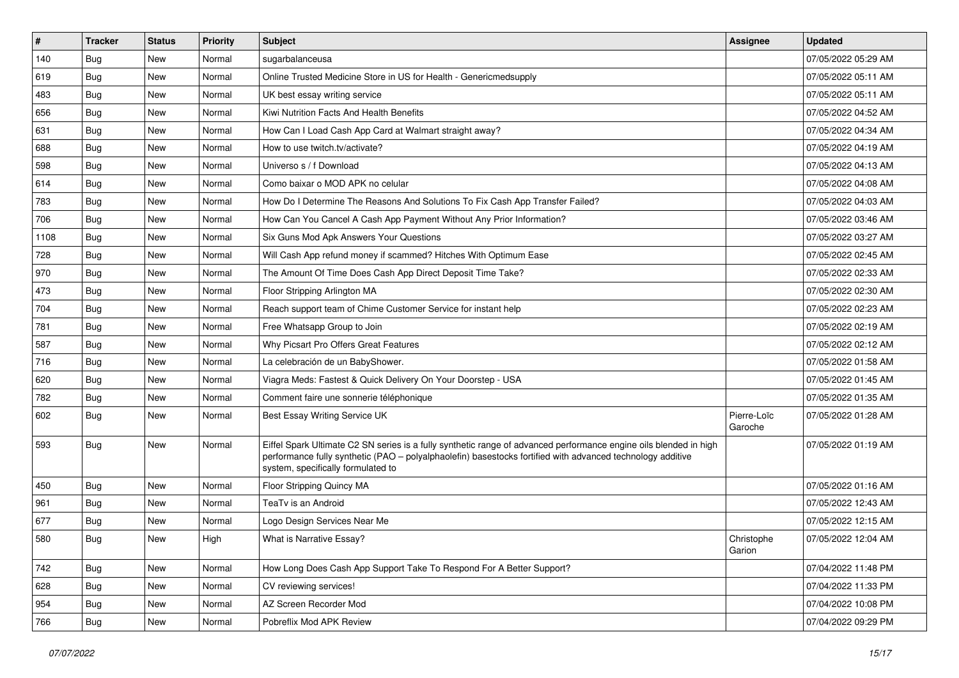| $\vert$ # | <b>Tracker</b> | <b>Status</b> | Priority | <b>Subject</b>                                                                                                                                                                                                                                                        | <b>Assignee</b>        | <b>Updated</b>      |
|-----------|----------------|---------------|----------|-----------------------------------------------------------------------------------------------------------------------------------------------------------------------------------------------------------------------------------------------------------------------|------------------------|---------------------|
| 140       | Bug            | New           | Normal   | sugarbalanceusa                                                                                                                                                                                                                                                       |                        | 07/05/2022 05:29 AM |
| 619       | <b>Bug</b>     | New           | Normal   | Online Trusted Medicine Store in US for Health - Genericmedsupply                                                                                                                                                                                                     |                        | 07/05/2022 05:11 AM |
| 483       | Bug            | New           | Normal   | UK best essay writing service                                                                                                                                                                                                                                         |                        | 07/05/2022 05:11 AM |
| 656       | Bug            | New           | Normal   | Kiwi Nutrition Facts And Health Benefits                                                                                                                                                                                                                              |                        | 07/05/2022 04:52 AM |
| 631       | Bug            | New           | Normal   | How Can I Load Cash App Card at Walmart straight away?                                                                                                                                                                                                                |                        | 07/05/2022 04:34 AM |
| 688       | Bug            | New           | Normal   | How to use twitch.tv/activate?                                                                                                                                                                                                                                        |                        | 07/05/2022 04:19 AM |
| 598       | Bug            | New           | Normal   | Universo s / f Download                                                                                                                                                                                                                                               |                        | 07/05/2022 04:13 AM |
| 614       | Bug            | New           | Normal   | Como baixar o MOD APK no celular                                                                                                                                                                                                                                      |                        | 07/05/2022 04:08 AM |
| 783       | Bug            | New           | Normal   | How Do I Determine The Reasons And Solutions To Fix Cash App Transfer Failed?                                                                                                                                                                                         |                        | 07/05/2022 04:03 AM |
| 706       | Bug            | New           | Normal   | How Can You Cancel A Cash App Payment Without Any Prior Information?                                                                                                                                                                                                  |                        | 07/05/2022 03:46 AM |
| 1108      | <b>Bug</b>     | New           | Normal   | Six Guns Mod Apk Answers Your Questions                                                                                                                                                                                                                               |                        | 07/05/2022 03:27 AM |
| 728       | <b>Bug</b>     | New           | Normal   | Will Cash App refund money if scammed? Hitches With Optimum Ease                                                                                                                                                                                                      |                        | 07/05/2022 02:45 AM |
| 970       | Bug            | New           | Normal   | The Amount Of Time Does Cash App Direct Deposit Time Take?                                                                                                                                                                                                            |                        | 07/05/2022 02:33 AM |
| 473       | Bug            | New           | Normal   | Floor Stripping Arlington MA                                                                                                                                                                                                                                          |                        | 07/05/2022 02:30 AM |
| 704       | Bug            | New           | Normal   | Reach support team of Chime Customer Service for instant help                                                                                                                                                                                                         |                        | 07/05/2022 02:23 AM |
| 781       | Bug            | New           | Normal   | Free Whatsapp Group to Join                                                                                                                                                                                                                                           |                        | 07/05/2022 02:19 AM |
| 587       | Bug            | New           | Normal   | Why Picsart Pro Offers Great Features                                                                                                                                                                                                                                 |                        | 07/05/2022 02:12 AM |
| 716       | Bug            | New           | Normal   | La celebración de un BabyShower.                                                                                                                                                                                                                                      |                        | 07/05/2022 01:58 AM |
| 620       | <b>Bug</b>     | New           | Normal   | Viagra Meds: Fastest & Quick Delivery On Your Doorstep - USA                                                                                                                                                                                                          |                        | 07/05/2022 01:45 AM |
| 782       | <b>Bug</b>     | New           | Normal   | Comment faire une sonnerie téléphonique                                                                                                                                                                                                                               |                        | 07/05/2022 01:35 AM |
| 602       | Bug            | New           | Normal   | Best Essay Writing Service UK                                                                                                                                                                                                                                         | Pierre-Loïc<br>Garoche | 07/05/2022 01:28 AM |
| 593       | Bug            | New           | Normal   | Eiffel Spark Ultimate C2 SN series is a fully synthetic range of advanced performance engine oils blended in high<br>performance fully synthetic (PAO - polyalphaolefin) basestocks fortified with advanced technology additive<br>system, specifically formulated to |                        | 07/05/2022 01:19 AM |
| 450       | Bug            | New           | Normal   | Floor Stripping Quincy MA                                                                                                                                                                                                                                             |                        | 07/05/2022 01:16 AM |
| 961       | Bug            | New           | Normal   | TeaTv is an Android                                                                                                                                                                                                                                                   |                        | 07/05/2022 12:43 AM |
| 677       | <b>Bug</b>     | New           | Normal   | Logo Design Services Near Me                                                                                                                                                                                                                                          |                        | 07/05/2022 12:15 AM |
| 580       | Bug            | New           | High     | What is Narrative Essay?                                                                                                                                                                                                                                              | Christophe<br>Garion   | 07/05/2022 12:04 AM |
| 742       | Bug            | New           | Normal   | How Long Does Cash App Support Take To Respond For A Better Support?                                                                                                                                                                                                  |                        | 07/04/2022 11:48 PM |
| 628       | <b>Bug</b>     | New           | Normal   | CV reviewing services!                                                                                                                                                                                                                                                |                        | 07/04/2022 11:33 PM |
| 954       | <b>Bug</b>     | New           | Normal   | AZ Screen Recorder Mod                                                                                                                                                                                                                                                |                        | 07/04/2022 10:08 PM |
| 766       | <b>Bug</b>     | New           | Normal   | Pobreflix Mod APK Review                                                                                                                                                                                                                                              |                        | 07/04/2022 09:29 PM |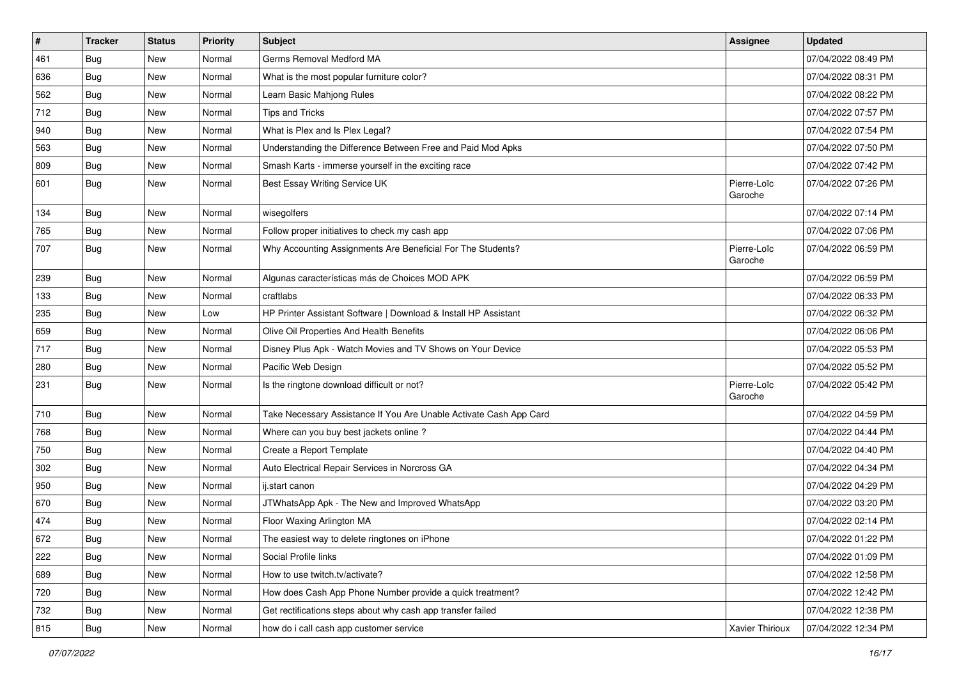| $\vert$ # | <b>Tracker</b> | <b>Status</b> | <b>Priority</b> | Subject                                                            | Assignee               | <b>Updated</b>      |
|-----------|----------------|---------------|-----------------|--------------------------------------------------------------------|------------------------|---------------------|
| 461       | <b>Bug</b>     | New           | Normal          | Germs Removal Medford MA                                           |                        | 07/04/2022 08:49 PM |
| 636       | Bug            | New           | Normal          | What is the most popular furniture color?                          |                        | 07/04/2022 08:31 PM |
| 562       | Bug            | New           | Normal          | Learn Basic Mahjong Rules                                          |                        | 07/04/2022 08:22 PM |
| 712       | <b>Bug</b>     | New           | Normal          | Tips and Tricks                                                    |                        | 07/04/2022 07:57 PM |
| 940       | Bug            | New           | Normal          | What is Plex and Is Plex Legal?                                    |                        | 07/04/2022 07:54 PM |
| 563       | <b>Bug</b>     | New           | Normal          | Understanding the Difference Between Free and Paid Mod Apks        |                        | 07/04/2022 07:50 PM |
| 809       | Bug            | New           | Normal          | Smash Karts - immerse yourself in the exciting race                |                        | 07/04/2022 07:42 PM |
| 601       | Bug            | New           | Normal          | Best Essay Writing Service UK                                      | Pierre-Loïc<br>Garoche | 07/04/2022 07:26 PM |
| 134       | Bug            | <b>New</b>    | Normal          | wisegolfers                                                        |                        | 07/04/2022 07:14 PM |
| 765       | Bug            | New           | Normal          | Follow proper initiatives to check my cash app                     |                        | 07/04/2022 07:06 PM |
| 707       | <b>Bug</b>     | New           | Normal          | Why Accounting Assignments Are Beneficial For The Students?        | Pierre-Loïc<br>Garoche | 07/04/2022 06:59 PM |
| 239       | <b>Bug</b>     | New           | Normal          | Algunas características más de Choices MOD APK                     |                        | 07/04/2022 06:59 PM |
| 133       | Bug            | New           | Normal          | craftlabs                                                          |                        | 07/04/2022 06:33 PM |
| 235       | Bug            | New           | Low             | HP Printer Assistant Software   Download & Install HP Assistant    |                        | 07/04/2022 06:32 PM |
| 659       | <b>Bug</b>     | New           | Normal          | Olive Oil Properties And Health Benefits                           |                        | 07/04/2022 06:06 PM |
| 717       | Bug            | New           | Normal          | Disney Plus Apk - Watch Movies and TV Shows on Your Device         |                        | 07/04/2022 05:53 PM |
| 280       | <b>Bug</b>     | New           | Normal          | Pacific Web Design                                                 |                        | 07/04/2022 05:52 PM |
| 231       | <b>Bug</b>     | New           | Normal          | Is the ringtone download difficult or not?                         | Pierre-Loïc<br>Garoche | 07/04/2022 05:42 PM |
| 710       | Bug            | New           | Normal          | Take Necessary Assistance If You Are Unable Activate Cash App Card |                        | 07/04/2022 04:59 PM |
| 768       | Bug            | New           | Normal          | Where can you buy best jackets online?                             |                        | 07/04/2022 04:44 PM |
| 750       | Bug            | New           | Normal          | Create a Report Template                                           |                        | 07/04/2022 04:40 PM |
| 302       | <b>Bug</b>     | New           | Normal          | Auto Electrical Repair Services in Norcross GA                     |                        | 07/04/2022 04:34 PM |
| 950       | Bug            | New           | Normal          | ij.start canon                                                     |                        | 07/04/2022 04:29 PM |
| 670       | <b>Bug</b>     | New           | Normal          | JTWhatsApp Apk - The New and Improved WhatsApp                     |                        | 07/04/2022 03:20 PM |
| 474       | <b>Bug</b>     | New           | Normal          | Floor Waxing Arlington MA                                          |                        | 07/04/2022 02:14 PM |
| 672       | Bug            | New           | Normal          | The easiest way to delete ringtones on iPhone                      |                        | 07/04/2022 01:22 PM |
| 222       | <b>Bug</b>     | New           | Normal          | Social Profile links                                               |                        | 07/04/2022 01:09 PM |
| 689       | <b>Bug</b>     | New           | Normal          | How to use twitch.tv/activate?                                     |                        | 07/04/2022 12:58 PM |
| 720       | <b>Bug</b>     | New           | Normal          | How does Cash App Phone Number provide a quick treatment?          |                        | 07/04/2022 12:42 PM |
| 732       | Bug            | New           | Normal          | Get rectifications steps about why cash app transfer failed        |                        | 07/04/2022 12:38 PM |
| 815       | <b>Bug</b>     | New           | Normal          | how do i call cash app customer service                            | Xavier Thirioux        | 07/04/2022 12:34 PM |